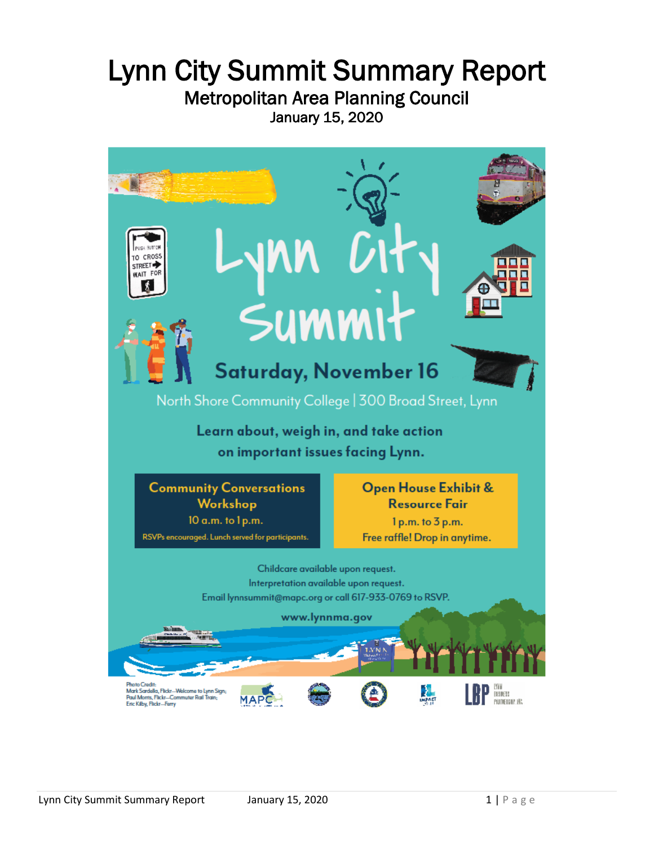# Lynn City Summit Summary Report

Metropolitan Area Planning Council

January 15, 2020

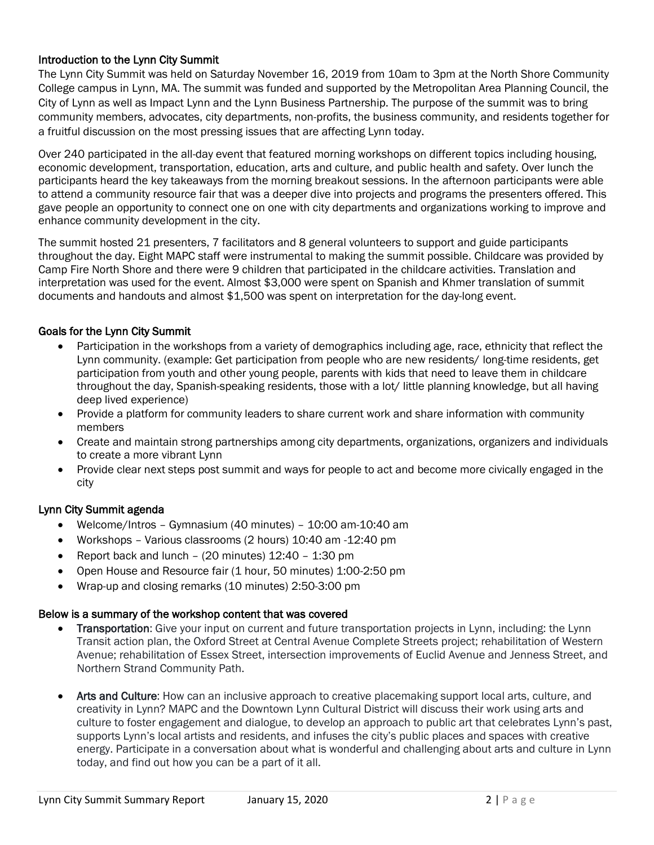# Introduction to the Lynn City Summit

The Lynn City Summit was held on Saturday November 16, 2019 from 10am to 3pm at the North Shore Community College campus in Lynn, MA. The summit was funded and supported by the Metropolitan Area Planning Council, the City of Lynn as well as Impact Lynn and the Lynn Business Partnership. The purpose of the summit was to bring community members, advocates, city departments, non-profits, the business community, and residents together for a fruitful discussion on the most pressing issues that are affecting Lynn today.

Over 240 participated in the all-day event that featured morning workshops on different topics including housing, economic development, transportation, education, arts and culture, and public health and safety. Over lunch the participants heard the key takeaways from the morning breakout sessions. In the afternoon participants were able to attend a community resource fair that was a deeper dive into projects and programs the presenters offered. This gave people an opportunity to connect one on one with city departments and organizations working to improve and enhance community development in the city.

The summit hosted 21 presenters, 7 facilitators and 8 general volunteers to support and guide participants throughout the day. Eight MAPC staff were instrumental to making the summit possible. Childcare was provided by Camp Fire North Shore and there were 9 children that participated in the childcare activities. Translation and interpretation was used for the event. Almost \$3,000 were spent on Spanish and Khmer translation of summit documents and handouts and almost \$1,500 was spent on interpretation for the day-long event.

# Goals for the Lynn City Summit

- Participation in the workshops from a variety of demographics including age, race, ethnicity that reflect the Lynn community. (example: Get participation from people who are new residents/ long-time residents, get participation from youth and other young people, parents with kids that need to leave them in childcare throughout the day, Spanish-speaking residents, those with a lot/ little planning knowledge, but all having deep lived experience)
- Provide a platform for community leaders to share current work and share information with community members
- Create and maintain strong partnerships among city departments, organizations, organizers and individuals to create a more vibrant Lynn
- Provide clear next steps post summit and ways for people to act and become more civically engaged in the city

# Lynn City Summit agenda

- Welcome/Intros Gymnasium (40 minutes) 10:00 am-10:40 am
- Workshops Various classrooms (2 hours) 10:40 am -12:40 pm
- Report back and lunch  $(20 \text{ minutes})$  12:40 1:30 pm
- Open House and Resource fair (1 hour, 50 minutes) 1:00-2:50 pm
- Wrap-up and closing remarks (10 minutes) 2:50-3:00 pm

# Below is a summary of the workshop content that was covered

- Transportation: Give your input on current and future transportation projects in Lynn, including: the Lynn Transit action plan, the Oxford Street at Central Avenue Complete Streets project; rehabilitation of Western Avenue; rehabilitation of Essex Street, intersection improvements of Euclid Avenue and Jenness Street, and Northern Strand Community Path.
- Arts and Culture: How can an inclusive approach to creative placemaking support local arts, culture, and creativity in Lynn? MAPC and the Downtown Lynn Cultural District will discuss their work using arts and culture to foster engagement and dialogue, to develop an approach to public art that celebrates Lynn's past, supports Lynn's local artists and residents, and infuses the city's public places and spaces with creative energy. Participate in a conversation about what is wonderful and challenging about arts and culture in Lynn today, and find out how you can be a part of it all.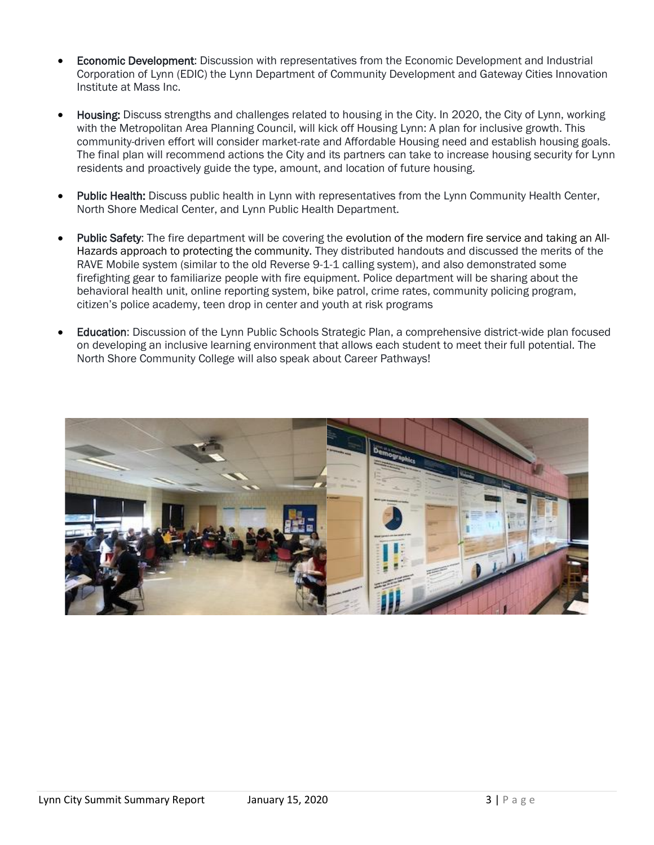- Economic Development: Discussion with representatives from the Economic Development and Industrial Corporation of Lynn (EDIC) the Lynn Department of Community Development and Gateway Cities Innovation Institute at Mass Inc.
- Housing: Discuss strengths and challenges related to housing in the City. In 2020, the City of Lynn, working with the Metropolitan Area Planning Council, will kick off Housing Lynn: A plan for inclusive growth. This community-driven effort will consider market-rate and Affordable Housing need and establish housing goals. The final plan will recommend actions the City and its partners can take to increase housing security for Lynn residents and proactively guide the type, amount, and location of future housing.
- Public Health: Discuss public health in Lynn with representatives from the Lynn Community Health Center, North Shore Medical Center, and Lynn Public Health Department.
- Public Safety: The fire department will be covering the evolution of the modern fire service and taking an All-Hazards approach to protecting the community. They distributed handouts and discussed the merits of the RAVE Mobile system (similar to the old Reverse 9-1-1 calling system), and also demonstrated some firefighting gear to familiarize people with fire equipment. Police department will be sharing about the behavioral health unit, online reporting system, bike patrol, crime rates, community policing program, citizen's police academy, teen drop in center and youth at risk programs
- Education: Discussion of the Lynn Public Schools Strategic Plan, a comprehensive district-wide plan focused on developing an inclusive learning environment that allows each student to meet their full potential. The North Shore Community College will also speak about Career Pathways!

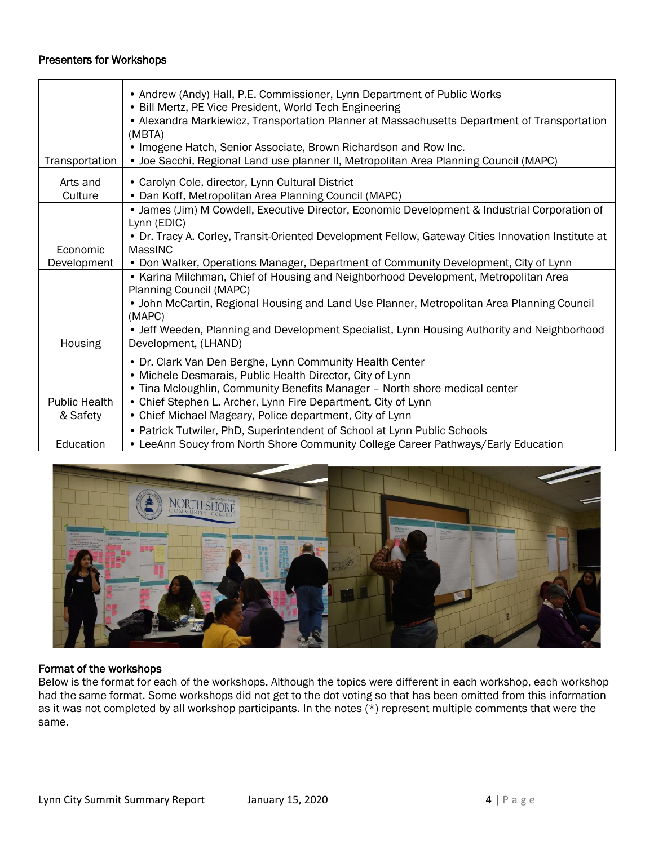# Presenters for Workshops

|                      | • Andrew (Andy) Hall, P.E. Commissioner, Lynn Department of Public Works<br>• Bill Mertz, PE Vice President, World Tech Engineering |
|----------------------|-------------------------------------------------------------------------------------------------------------------------------------|
|                      | • Alexandra Markiewicz, Transportation Planner at Massachusetts Department of Transportation<br>(MBTA)                              |
|                      | • Imogene Hatch, Senior Associate, Brown Richardson and Row Inc.                                                                    |
| Transportation       | • Joe Sacchi, Regional Land use planner II, Metropolitan Area Planning Council (MAPC)                                               |
| Arts and             | • Carolyn Cole, director, Lynn Cultural District                                                                                    |
| Culture              | • Dan Koff, Metropolitan Area Planning Council (MAPC)                                                                               |
|                      | • James (Jim) M Cowdell, Executive Director, Economic Development & Industrial Corporation of<br>Lynn (EDIC)                        |
|                      | • Dr. Tracy A. Corley, Transit-Oriented Development Fellow, Gateway Cities Innovation Institute at                                  |
| Economic             | MassINC                                                                                                                             |
| Development          | • Don Walker, Operations Manager, Department of Community Development, City of Lynn                                                 |
|                      | • Karina Milchman, Chief of Housing and Neighborhood Development, Metropolitan Area<br>Planning Council (MAPC)                      |
|                      | • John McCartin, Regional Housing and Land Use Planner, Metropolitan Area Planning Council<br>(MAPC)                                |
| Housing              | • Jeff Weeden, Planning and Development Specialist, Lynn Housing Authority and Neighborhood<br>Development, (LHAND)                 |
|                      | • Dr. Clark Van Den Berghe, Lynn Community Health Center                                                                            |
|                      | • Michele Desmarais, Public Health Director, City of Lynn                                                                           |
|                      | • Tina Mcloughlin, Community Benefits Manager - North shore medical center                                                          |
| <b>Public Health</b> | • Chief Stephen L. Archer, Lynn Fire Department, City of Lynn                                                                       |
| & Safety             | • Chief Michael Mageary, Police department, City of Lynn                                                                            |
|                      | • Patrick Tutwiler, PhD, Superintendent of School at Lynn Public Schools                                                            |
| Education            | • LeeAnn Soucy from North Shore Community College Career Pathways/Early Education                                                   |



# Format of the workshops

Below is the format for each of the workshops. Although the topics were different in each workshop, each workshop had the same format. Some workshops did not get to the dot voting so that has been omitted from this information as it was not completed by all workshop participants. In the notes (\*) represent multiple comments that were the same.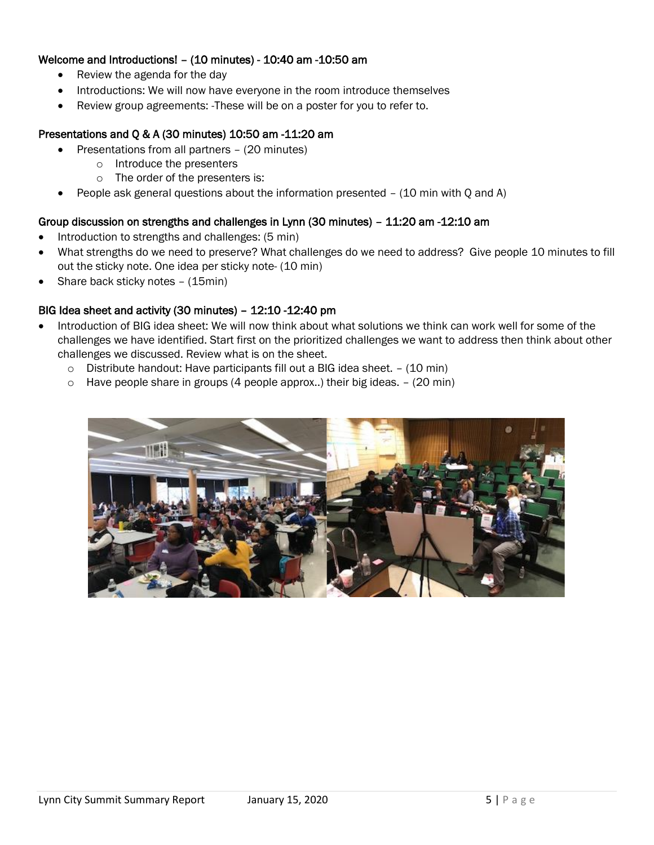# Welcome and Introductions! – (10 minutes) - 10:40 am -10:50 am

- Review the agenda for the day
- Introductions: We will now have everyone in the room introduce themselves
- Review group agreements: -These will be on a poster for you to refer to.

# Presentations and Q & A (30 minutes) 10:50 am -11:20 am

- Presentations from all partners (20 minutes)
	- o Introduce the presenters
	- o The order of the presenters is:
- People ask general questions about the information presented (10 min with Q and A)

# Group discussion on strengths and challenges in Lynn (30 minutes) – 11:20 am -12:10 am

- Introduction to strengths and challenges: (5 min)
- What strengths do we need to preserve? What challenges do we need to address? Give people 10 minutes to fill out the sticky note. One idea per sticky note- (10 min)
- Share back sticky notes (15min)

# BIG Idea sheet and activity (30 minutes) – 12:10 -12:40 pm

- Introduction of BIG idea sheet: We will now think about what solutions we think can work well for some of the challenges we have identified. Start first on the prioritized challenges we want to address then think about other challenges we discussed. Review what is on the sheet.
	- $\circ$  Distribute handout: Have participants fill out a BIG idea sheet.  $-$  (10 min)
	- $\circ$  Have people share in groups (4 people approx..) their big ideas.  $-$  (20 min)

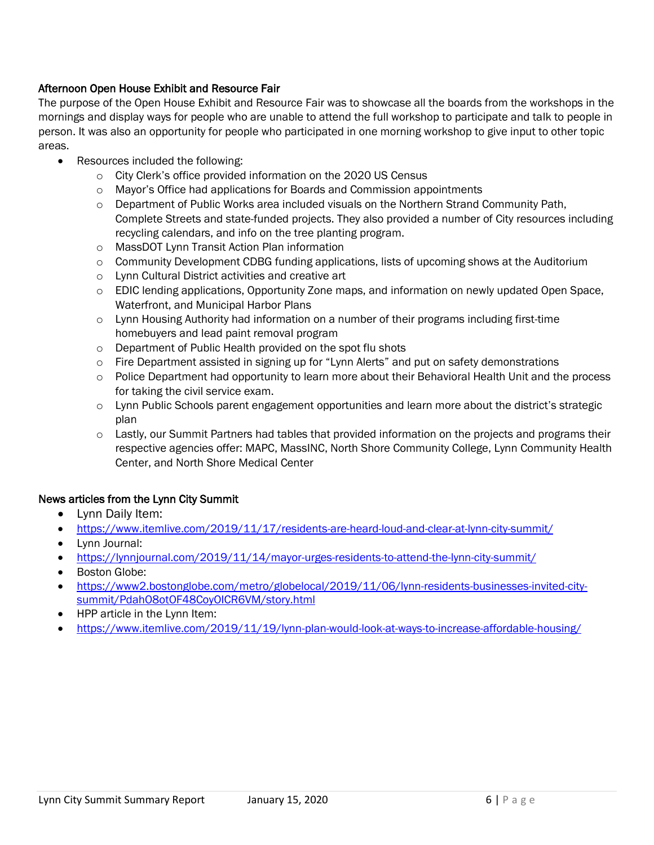# Afternoon Open House Exhibit and Resource Fair

The purpose of the Open House Exhibit and Resource Fair was to showcase all the boards from the workshops in the mornings and display ways for people who are unable to attend the full workshop to participate and talk to people in person. It was also an opportunity for people who participated in one morning workshop to give input to other topic areas.

- Resources included the following:
	- o City Clerk's office provided information on the 2020 US Census
	- o Mayor's Office had applications for Boards and Commission appointments
	- $\circ$  Department of Public Works area included visuals on the Northern Strand Community Path, Complete Streets and state-funded projects. They also provided a number of City resources including recycling calendars, and info on the tree planting program.
	- o MassDOT Lynn Transit Action Plan information
	- $\circ$  Community Development CDBG funding applications, lists of upcoming shows at the Auditorium
	- o Lynn Cultural District activities and creative art
	- $\circ$  EDIC lending applications, Opportunity Zone maps, and information on newly updated Open Space, Waterfront, and Municipal Harbor Plans
	- $\circ$  Lynn Housing Authority had information on a number of their programs including first-time homebuyers and lead paint removal program
	- o Department of Public Health provided on the spot flu shots
	- o Fire Department assisted in signing up for "Lynn Alerts" and put on safety demonstrations
	- $\circ$  Police Department had opportunity to learn more about their Behavioral Health Unit and the process for taking the civil service exam.
	- $\circ$  Lynn Public Schools parent engagement opportunities and learn more about the district's strategic plan
	- $\circ$  Lastly, our Summit Partners had tables that provided information on the projects and programs their respective agencies offer: MAPC, MassINC, North Shore Community College, Lynn Community Health Center, and North Shore Medical Center

# News articles from the Lynn City Summit

- Lynn Daily Item:
- <https://www.itemlive.com/2019/11/17/residents-are-heard-loud-and-clear-at-lynn-city-summit/>
- Lynn Journal:
- <https://lynnjournal.com/2019/11/14/mayor-urges-residents-to-attend-the-lynn-city-summit/>
- Boston Globe:
- [https://www2.bostonglobe.com/metro/globelocal/2019/11/06/lynn-residents-businesses-invited-city](https://www2.bostonglobe.com/metro/globelocal/2019/11/06/lynn-residents-businesses-invited-city-summit/PdahO8otOF48CoyOICR6VM/story.html)[summit/PdahO8otOF48CoyOICR6VM/story.html](https://www2.bostonglobe.com/metro/globelocal/2019/11/06/lynn-residents-businesses-invited-city-summit/PdahO8otOF48CoyOICR6VM/story.html)
- HPP article in the Lynn Item:
- <https://www.itemlive.com/2019/11/19/lynn-plan-would-look-at-ways-to-increase-affordable-housing/>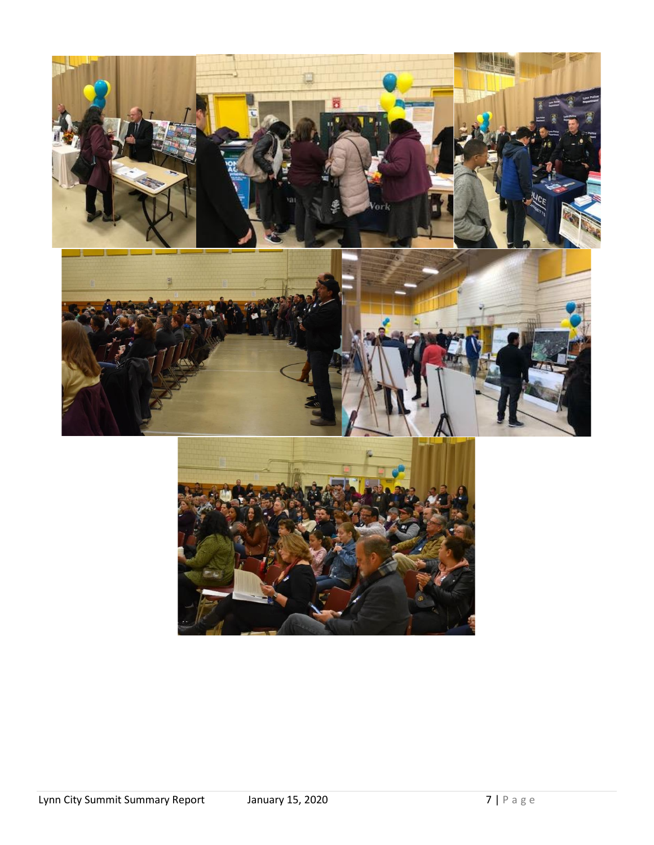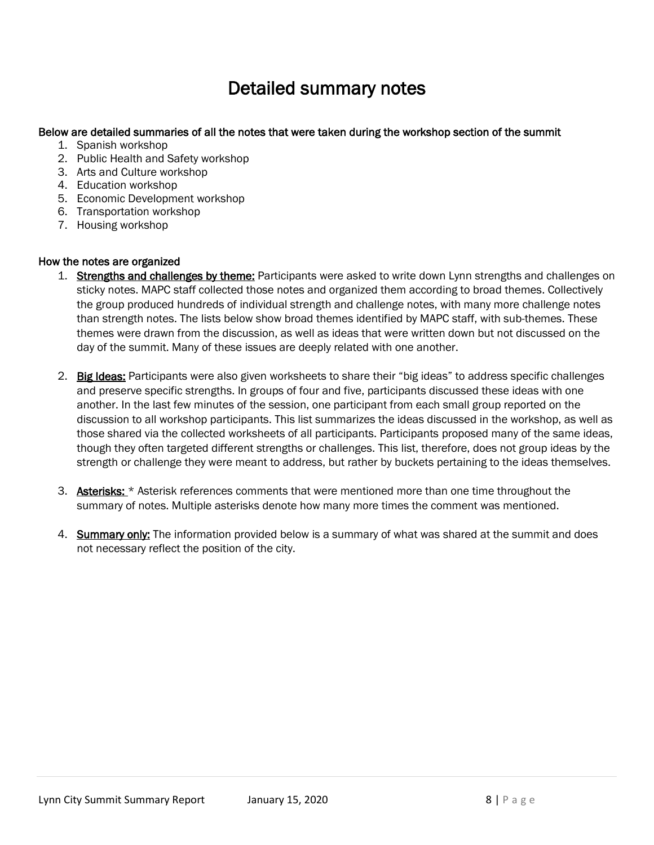# Detailed summary notes

# Below are detailed summaries of all the notes that were taken during the workshop section of the summit

- 1. Spanish workshop
- 2. Public Health and Safety workshop
- 3. Arts and Culture workshop
- 4. Education workshop
- 5. Economic Development workshop
- 6. Transportation workshop
- 7. Housing workshop

# How the notes are organized

- 1. Strengths and challenges by theme: Participants were asked to write down Lynn strengths and challenges on sticky notes. MAPC staff collected those notes and organized them according to broad themes. Collectively the group produced hundreds of individual strength and challenge notes, with many more challenge notes than strength notes. The lists below show broad themes identified by MAPC staff, with sub-themes. These themes were drawn from the discussion, as well as ideas that were written down but not discussed on the day of the summit. Many of these issues are deeply related with one another.
- 2. Big Ideas: Participants were also given worksheets to share their "big ideas" to address specific challenges and preserve specific strengths. In groups of four and five, participants discussed these ideas with one another. In the last few minutes of the session, one participant from each small group reported on the discussion to all workshop participants. This list summarizes the ideas discussed in the workshop, as well as those shared via the collected worksheets of all participants. Participants proposed many of the same ideas, though they often targeted different strengths or challenges. This list, therefore, does not group ideas by the strength or challenge they were meant to address, but rather by buckets pertaining to the ideas themselves.
- 3. Asterisks: \* Asterisk references comments that were mentioned more than one time throughout the summary of notes. Multiple asterisks denote how many more times the comment was mentioned.
- 4. Summary only: The information provided below is a summary of what was shared at the summit and does not necessary reflect the position of the city.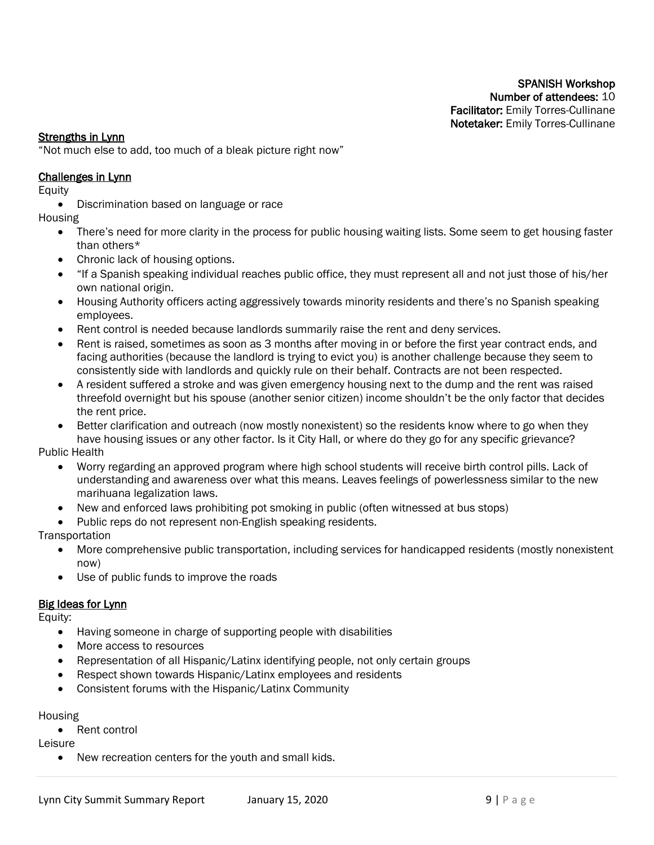SPANISH Workshop Number of attendees: 10 Facilitator: Emily Torres-Cullinane Notetaker: Emily Torres-Cullinane

#### Strengths in Lynn

"Not much else to add, too much of a bleak picture right now"

#### Challenges in Lynn

Equity

• Discrimination based on language or race

Housing

- There's need for more clarity in the process for public housing waiting lists. Some seem to get housing faster than others\*
- Chronic lack of housing options.
- "If a Spanish speaking individual reaches public office, they must represent all and not just those of his/her own national origin.
- Housing Authority officers acting aggressively towards minority residents and there's no Spanish speaking employees.
- Rent control is needed because landlords summarily raise the rent and deny services.
- Rent is raised, sometimes as soon as 3 months after moving in or before the first year contract ends, and facing authorities (because the landlord is trying to evict you) is another challenge because they seem to consistently side with landlords and quickly rule on their behalf. Contracts are not been respected.
- A resident suffered a stroke and was given emergency housing next to the dump and the rent was raised threefold overnight but his spouse (another senior citizen) income shouldn't be the only factor that decides the rent price.
- Better clarification and outreach (now mostly nonexistent) so the residents know where to go when they have housing issues or any other factor. Is it City Hall, or where do they go for any specific grievance?

Public Health

- Worry regarding an approved program where high school students will receive birth control pills. Lack of understanding and awareness over what this means. Leaves feelings of powerlessness similar to the new marihuana legalization laws.
- New and enforced laws prohibiting pot smoking in public (often witnessed at bus stops)
- Public reps do not represent non-English speaking residents.

**Transportation** 

- More comprehensive public transportation, including services for handicapped residents (mostly nonexistent now)
- Use of public funds to improve the roads

# Big Ideas for Lynn

Equity:

- Having someone in charge of supporting people with disabilities
- More access to resources
- Representation of all Hispanic/Latinx identifying people, not only certain groups
- Respect shown towards Hispanic/Latinx employees and residents
- Consistent forums with the Hispanic/Latinx Community

Housing

• Rent control

Leisure

• New recreation centers for the youth and small kids.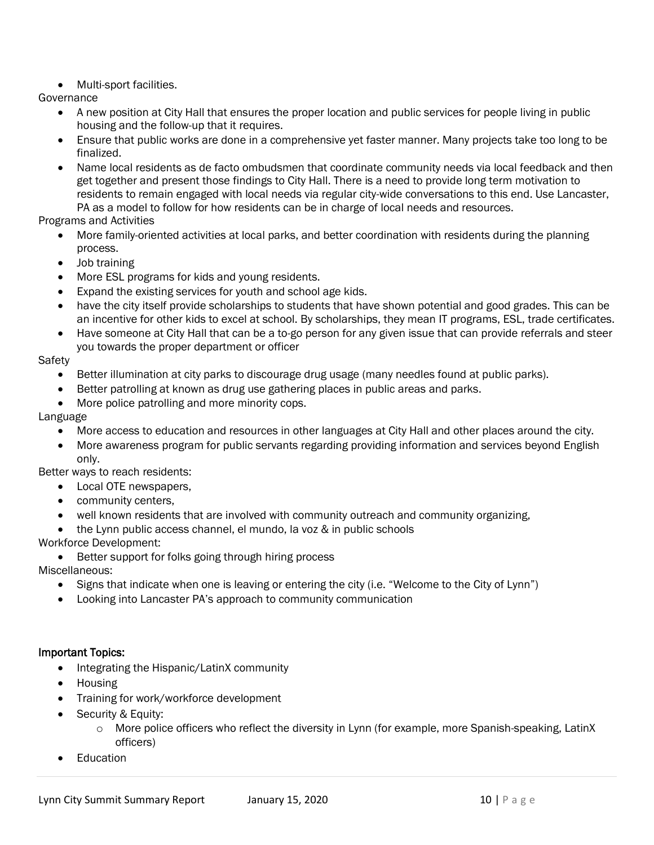# • Multi-sport facilities.

Governance

- A new position at City Hall that ensures the proper location and public services for people living in public housing and the follow-up that it requires.
- Ensure that public works are done in a comprehensive yet faster manner. Many projects take too long to be finalized.
- Name local residents as de facto ombudsmen that coordinate community needs via local feedback and then get together and present those findings to City Hall. There is a need to provide long term motivation to residents to remain engaged with local needs via regular city-wide conversations to this end. Use Lancaster, PA as a model to follow for how residents can be in charge of local needs and resources.

Programs and Activities

- More family-oriented activities at local parks, and better coordination with residents during the planning process.
- Job training
- More ESL programs for kids and young residents.
- Expand the existing services for youth and school age kids.
- have the city itself provide scholarships to students that have shown potential and good grades. This can be an incentive for other kids to excel at school. By scholarships, they mean IT programs, ESL, trade certificates.
- Have someone at City Hall that can be a to-go person for any given issue that can provide referrals and steer you towards the proper department or officer

Safety

- Better illumination at city parks to discourage drug usage (many needles found at public parks).
- Better patrolling at known as drug use gathering places in public areas and parks.
- More police patrolling and more minority cops.

Language

- More access to education and resources in other languages at City Hall and other places around the city.
- More awareness program for public servants regarding providing information and services beyond English only.

Better ways to reach residents:

- Local OTE newspapers,
- community centers,
- well known residents that are involved with community outreach and community organizing,
- the Lynn public access channel, el mundo, la voz & in public schools

Workforce Development:

• Better support for folks going through hiring process

Miscellaneous:

- Signs that indicate when one is leaving or entering the city (i.e. "Welcome to the City of Lynn")
- Looking into Lancaster PA's approach to community communication

# Important Topics:

- Integrating the Hispanic/LatinX community
- Housing
- Training for work/workforce development
- Security & Equity:
	- $\circ$  More police officers who reflect the diversity in Lynn (for example, more Spanish-speaking, LatinX) officers)
- **Education**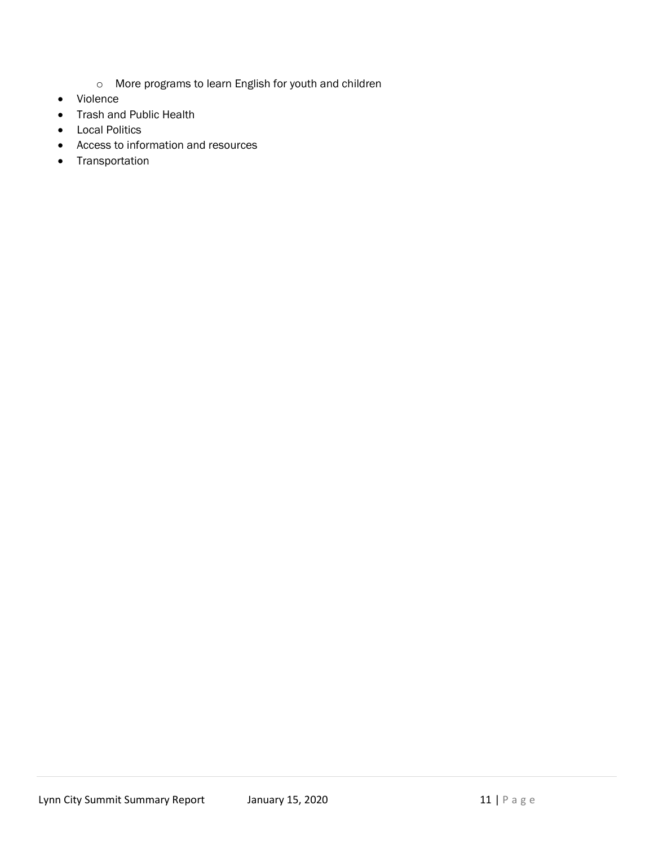- o More programs to learn English for youth and children
- Violence
- Trash and Public Health
- Local Politics
- Access to information and resources
- Transportation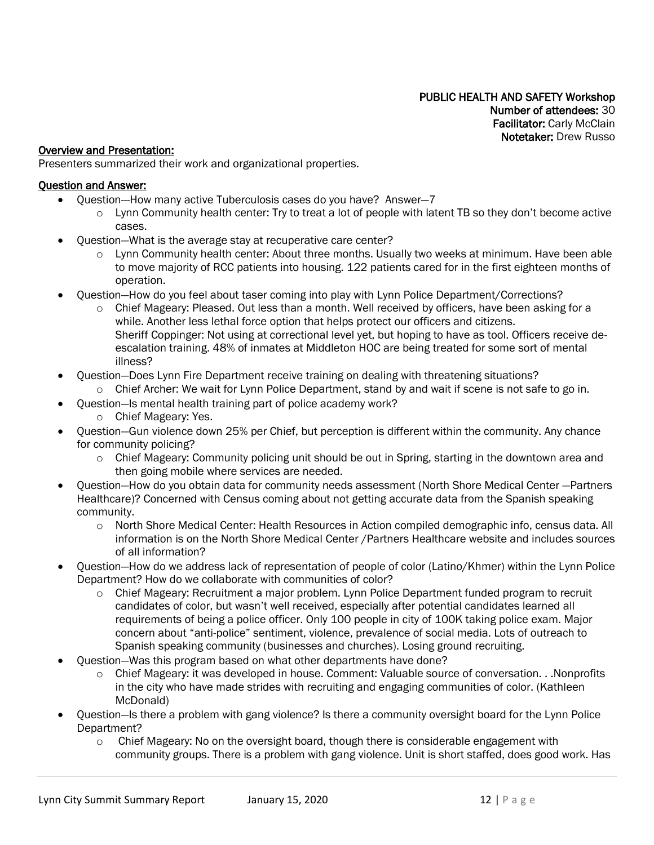# Overview and Presentation:

Presenters summarized their work and organizational properties.

# Question and Answer:

- Question---How many active Tuberculosis cases do you have? Answer—7
	- $\circ$  Lynn Community health center: Try to treat a lot of people with latent TB so they don't become active cases.
- Question—What is the average stay at recuperative care center?
	- o Lynn Community health center: About three months. Usually two weeks at minimum. Have been able to move majority of RCC patients into housing. 122 patients cared for in the first eighteen months of operation.
- Question—How do you feel about taser coming into play with Lynn Police Department/Corrections?
	- $\circ$  Chief Mageary: Pleased. Out less than a month. Well received by officers, have been asking for a while. Another less lethal force option that helps protect our officers and citizens. Sheriff Coppinger: Not using at correctional level yet, but hoping to have as tool. Officers receive deescalation training. 48% of inmates at Middleton HOC are being treated for some sort of mental illness?
- Question—Does Lynn Fire Department receive training on dealing with threatening situations?
	- $\circ$  Chief Archer: We wait for Lynn Police Department, stand by and wait if scene is not safe to go in.
- Question—Is mental health training part of police academy work?
	- o Chief Mageary: Yes.
- Question—Gun violence down 25% per Chief, but perception is different within the community. Any chance for community policing?
	- o Chief Mageary: Community policing unit should be out in Spring, starting in the downtown area and then going mobile where services are needed.
- Question—How do you obtain data for community needs assessment (North Shore Medical Center —Partners Healthcare)? Concerned with Census coming about not getting accurate data from the Spanish speaking community.
	- o North Shore Medical Center: Health Resources in Action compiled demographic info, census data. All information is on the North Shore Medical Center /Partners Healthcare website and includes sources of all information?
- Question—How do we address lack of representation of people of color (Latino/Khmer) within the Lynn Police Department? How do we collaborate with communities of color?
	- o Chief Mageary: Recruitment a major problem. Lynn Police Department funded program to recruit candidates of color, but wasn't well received, especially after potential candidates learned all requirements of being a police officer. Only 100 people in city of 100K taking police exam. Major concern about "anti-police" sentiment, violence, prevalence of social media. Lots of outreach to Spanish speaking community (businesses and churches). Losing ground recruiting.
- Question—Was this program based on what other departments have done?
	- o Chief Mageary: it was developed in house. Comment: Valuable source of conversation. . .Nonprofits in the city who have made strides with recruiting and engaging communities of color. (Kathleen McDonald)
- Question—Is there a problem with gang violence? Is there a community oversight board for the Lynn Police Department?
	- $\circ$  Chief Mageary: No on the oversight board, though there is considerable engagement with community groups. There is a problem with gang violence. Unit is short staffed, does good work. Has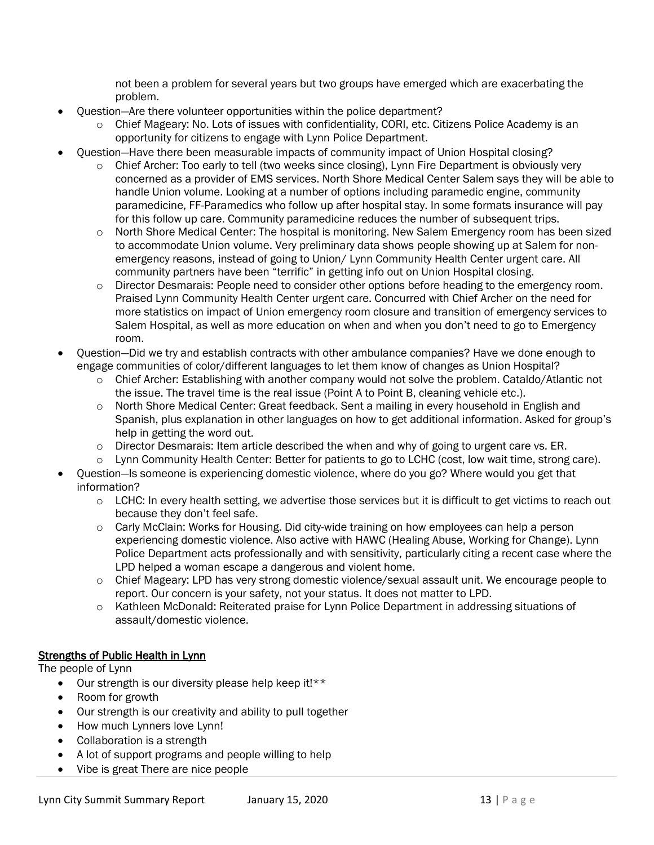not been a problem for several years but two groups have emerged which are exacerbating the problem.

- Question—Are there volunteer opportunities within the police department?
	- o Chief Mageary: No. Lots of issues with confidentiality, CORI, etc. Citizens Police Academy is an opportunity for citizens to engage with Lynn Police Department.
- Question—Have there been measurable impacts of community impact of Union Hospital closing?
	- $\circ$  Chief Archer: Too early to tell (two weeks since closing), Lynn Fire Department is obviously very concerned as a provider of EMS services. North Shore Medical Center Salem says they will be able to handle Union volume. Looking at a number of options including paramedic engine, community paramedicine, FF-Paramedics who follow up after hospital stay. In some formats insurance will pay for this follow up care. Community paramedicine reduces the number of subsequent trips.
	- o North Shore Medical Center: The hospital is monitoring. New Salem Emergency room has been sized to accommodate Union volume. Very preliminary data shows people showing up at Salem for nonemergency reasons, instead of going to Union/ Lynn Community Health Center urgent care. All community partners have been "terrific" in getting info out on Union Hospital closing.
	- o Director Desmarais: People need to consider other options before heading to the emergency room. Praised Lynn Community Health Center urgent care. Concurred with Chief Archer on the need for more statistics on impact of Union emergency room closure and transition of emergency services to Salem Hospital, as well as more education on when and when you don't need to go to Emergency room.
- Question—Did we try and establish contracts with other ambulance companies? Have we done enough to engage communities of color/different languages to let them know of changes as Union Hospital?
	- o Chief Archer: Establishing with another company would not solve the problem. Cataldo/Atlantic not the issue. The travel time is the real issue (Point A to Point B, cleaning vehicle etc.).
	- o North Shore Medical Center: Great feedback. Sent a mailing in every household in English and Spanish, plus explanation in other languages on how to get additional information. Asked for group's help in getting the word out.
	- o Director Desmarais: Item article described the when and why of going to urgent care vs. ER.
	- o Lynn Community Health Center: Better for patients to go to LCHC (cost, low wait time, strong care).
- Question—Is someone is experiencing domestic violence, where do you go? Where would you get that information?
	- $\circ$  LCHC: In every health setting, we advertise those services but it is difficult to get victims to reach out because they don't feel safe.
	- $\circ$  Carly McClain: Works for Housing. Did city-wide training on how employees can help a person experiencing domestic violence. Also active with HAWC (Healing Abuse, Working for Change). Lynn Police Department acts professionally and with sensitivity, particularly citing a recent case where the LPD helped a woman escape a dangerous and violent home.
	- o Chief Mageary: LPD has very strong domestic violence/sexual assault unit. We encourage people to report. Our concern is your safety, not your status. It does not matter to LPD.
	- o Kathleen McDonald: Reiterated praise for Lynn Police Department in addressing situations of assault/domestic violence.

# Strengths of Public Health in Lynn

The people of Lynn

- Our strength is our diversity please help keep it!\*\*
- Room for growth
- Our strength is our creativity and ability to pull together
- How much Lynners love Lynn!
- Collaboration is a strength
- A lot of support programs and people willing to help
- Vibe is great There are nice people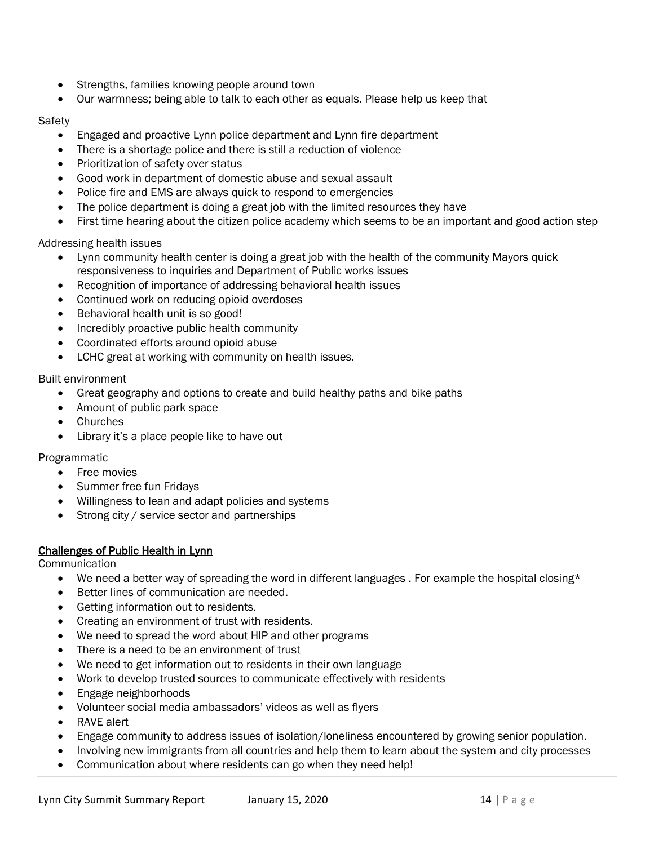- Strengths, families knowing people around town
- Our warmness; being able to talk to each other as equals. Please help us keep that

# Safety

- Engaged and proactive Lynn police department and Lynn fire department
- There is a shortage police and there is still a reduction of violence
- Prioritization of safety over status
- Good work in department of domestic abuse and sexual assault
- Police fire and EMS are always quick to respond to emergencies
- The police department is doing a great job with the limited resources they have
- First time hearing about the citizen police academy which seems to be an important and good action step

Addressing health issues

- Lynn community health center is doing a great job with the health of the community Mayors quick responsiveness to inquiries and Department of Public works issues
- Recognition of importance of addressing behavioral health issues
- Continued work on reducing opioid overdoses
- Behavioral health unit is so good!
- Incredibly proactive public health community
- Coordinated efforts around opioid abuse
- LCHC great at working with community on health issues.

Built environment

- Great geography and options to create and build healthy paths and bike paths
- Amount of public park space
- Churches
- Library it's a place people like to have out

Programmatic

- Free movies
- Summer free fun Fridays
- Willingness to lean and adapt policies and systems
- Strong city / service sector and partnerships

# Challenges of Public Health in Lynn

**Communication** 

- We need a better way of spreading the word in different languages . For example the hospital closing  $*$
- Better lines of communication are needed.
- Getting information out to residents.
- Creating an environment of trust with residents.
- We need to spread the word about HIP and other programs
- There is a need to be an environment of trust
- We need to get information out to residents in their own language
- Work to develop trusted sources to communicate effectively with residents
- Engage neighborhoods
- Volunteer social media ambassadors' videos as well as flyers
- RAVE alert
- Engage community to address issues of isolation/loneliness encountered by growing senior population.
- Involving new immigrants from all countries and help them to learn about the system and city processes
- Communication about where residents can go when they need help!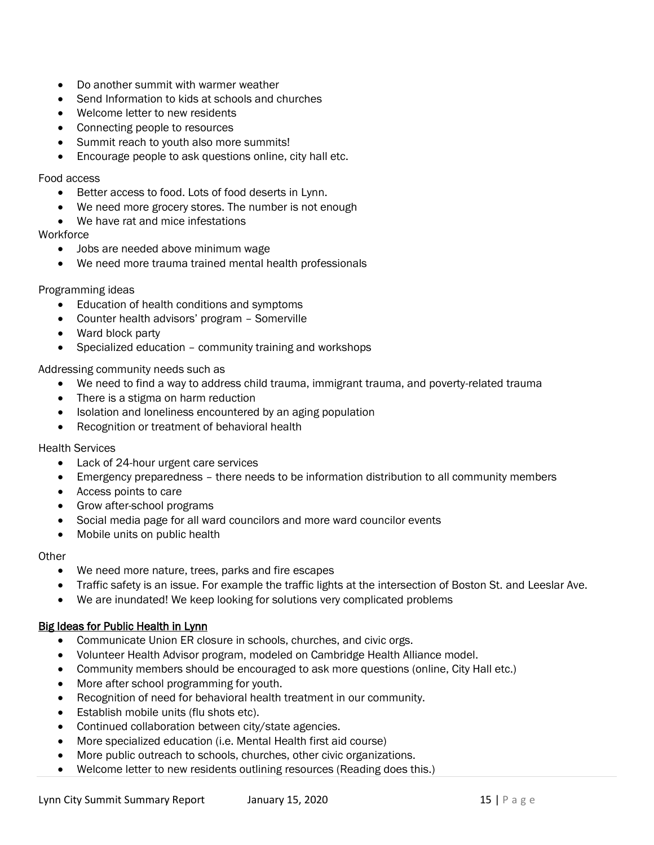- Do another summit with warmer weather
- Send Information to kids at schools and churches
- Welcome letter to new residents
- Connecting people to resources
- Summit reach to youth also more summits!
- Encourage people to ask questions online, city hall etc.

#### Food access

- Better access to food. Lots of food deserts in Lynn.
- We need more grocery stores. The number is not enough
- We have rat and mice infestations

#### **Workforce**

- Jobs are needed above minimum wage
- We need more trauma trained mental health professionals

#### Programming ideas

- Education of health conditions and symptoms
- Counter health advisors' program Somerville
- Ward block party
- Specialized education community training and workshops

Addressing community needs such as

- We need to find a way to address child trauma, immigrant trauma, and poverty-related trauma
- There is a stigma on harm reduction
- Isolation and loneliness encountered by an aging population
- Recognition or treatment of behavioral health

#### Health Services

- Lack of 24-hour urgent care services
- Emergency preparedness there needs to be information distribution to all community members
- Access points to care
- Grow after-school programs
- Social media page for all ward councilors and more ward councilor events
- Mobile units on public health

#### **Other**

- We need more nature, trees, parks and fire escapes
- Traffic safety is an issue. For example the traffic lights at the intersection of Boston St. and Leeslar Ave.
- We are inundated! We keep looking for solutions very complicated problems

# Big Ideas for Public Health in Lynn

- Communicate Union ER closure in schools, churches, and civic orgs.
- Volunteer Health Advisor program, modeled on Cambridge Health Alliance model.
- Community members should be encouraged to ask more questions (online, City Hall etc.)
- More after school programming for youth.
- Recognition of need for behavioral health treatment in our community.
- Establish mobile units (flu shots etc).
- Continued collaboration between city/state agencies.
- More specialized education (i.e. Mental Health first aid course)
- More public outreach to schools, churches, other civic organizations.
- Welcome letter to new residents outlining resources (Reading does this.)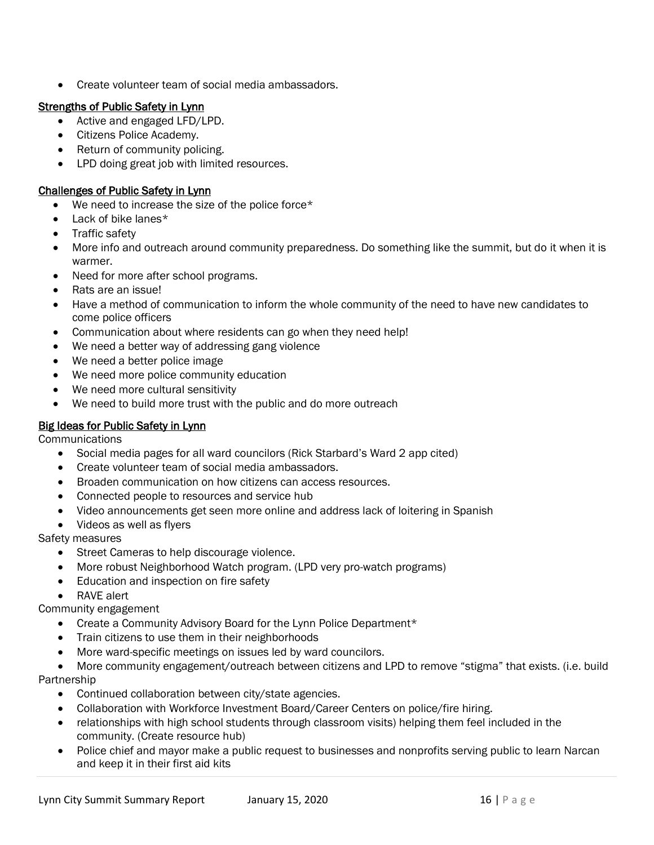• Create volunteer team of social media ambassadors.

# Strengths of Public Safety in Lynn

- Active and engaged LFD/LPD.
- Citizens Police Academy.
- Return of community policing.
- LPD doing great job with limited resources.

# Challenges of Public Safety in Lynn

- We need to increase the size of the police force\*
- Lack of bike lanes\*
- Traffic safety
- More info and outreach around community preparedness. Do something like the summit, but do it when it is warmer.
- Need for more after school programs.
- Rats are an issue!
- Have a method of communication to inform the whole community of the need to have new candidates to come police officers
- Communication about where residents can go when they need help!
- We need a better way of addressing gang violence
- We need a better police image
- We need more police community education
- We need more cultural sensitivity
- We need to build more trust with the public and do more outreach

# Big Ideas for Public Safety in Lynn

**Communications** 

- Social media pages for all ward councilors (Rick Starbard's Ward 2 app cited)
- Create volunteer team of social media ambassadors.
- Broaden communication on how citizens can access resources.
- Connected people to resources and service hub
- Video announcements get seen more online and address lack of loitering in Spanish
- Videos as well as flyers

Safety measures

- Street Cameras to help discourage violence.
- More robust Neighborhood Watch program. (LPD very pro-watch programs)
- Education and inspection on fire safety
- RAVE alert

Community engagement

- Create a Community Advisory Board for the Lynn Police Department\*
- Train citizens to use them in their neighborhoods
- More ward-specific meetings on issues led by ward councilors.

• More community engagement/outreach between citizens and LPD to remove "stigma" that exists. (i.e. build Partnership

- Continued collaboration between city/state agencies.
- Collaboration with Workforce Investment Board/Career Centers on police/fire hiring.
- relationships with high school students through classroom visits) helping them feel included in the community. (Create resource hub)
- Police chief and mayor make a public request to businesses and nonprofits serving public to learn Narcan and keep it in their first aid kits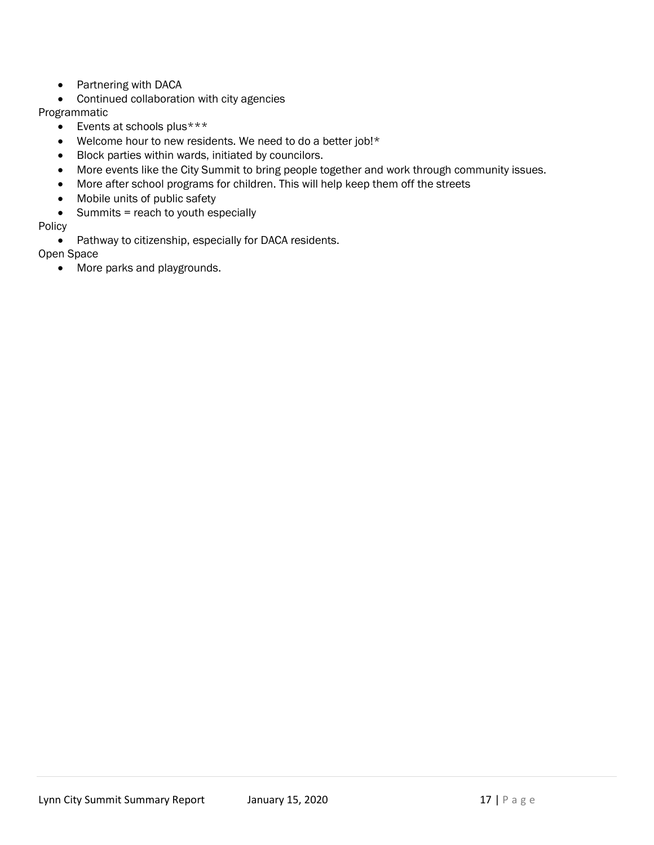- Partnering with DACA
- Continued collaboration with city agencies

Programmatic

- Events at schools plus\*\*\*
- Welcome hour to new residents. We need to do a better job!\*
- Block parties within wards, initiated by councilors.
- More events like the City Summit to bring people together and work through community issues.
- More after school programs for children. This will help keep them off the streets
- Mobile units of public safety
- Summits = reach to youth especially

Policy

• Pathway to citizenship, especially for DACA residents.

Open Space

• More parks and playgrounds.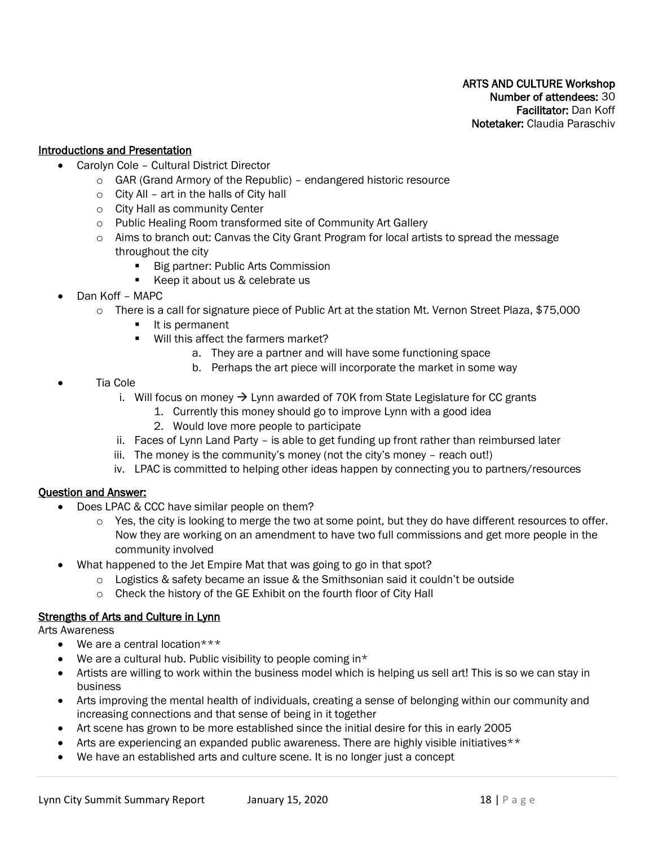# Introductions and Presentation

- Carolyn Cole Cultural District Director
	- o GAR (Grand Armory of the Republic) endangered historic resource
	- $\circ$  City All art in the halls of City hall
	- o City Hall as community Center
	- o Public Healing Room transformed site of Community Art Gallery
	- $\circ$  Aims to branch out: Canvas the City Grant Program for local artists to spread the message throughout the city
		- Big partner: Public Arts Commission
		- Keep it about us & celebrate us
- Dan Koff MAPC
	- o There is a call for signature piece of Public Art at the station Mt. Vernon Street Plaza, \$75,000
		- It is permanent
		- Will this affect the farmers market?
			- a. They are a partner and will have some functioning space
			- b. Perhaps the art piece will incorporate the market in some way
- Tia Cole
	- i. Will focus on money  $\rightarrow$  Lynn awarded of 70K from State Legislature for CC grants
		- 1. Currently this money should go to improve Lynn with a good idea
		- 2. Would love more people to participate
	- ii. Faces of Lynn Land Party is able to get funding up front rather than reimbursed later
	- iii. The money is the community's money (not the city's money reach out!)
	- iv. LPAC is committed to helping other ideas happen by connecting you to partners/resources

# Question and Answer:

- Does LPAC & CCC have similar people on them?
	- $\circ$  Yes, the city is looking to merge the two at some point, but they do have different resources to offer. Now they are working on an amendment to have two full commissions and get more people in the community involved
- What happened to the Jet Empire Mat that was going to go in that spot?
	- $\circ$  Logistics & safety became an issue & the Smithsonian said it couldn't be outside
	- o Check the history of the GE Exhibit on the fourth floor of City Hall

# Strengths of Arts and Culture in Lynn

Arts Awareness

- We are a central location \*\*\*
- We are a cultural hub. Public visibility to people coming in  $*$
- Artists are willing to work within the business model which is helping us sell art! This is so we can stay in business
- Arts improving the mental health of individuals, creating a sense of belonging within our community and increasing connections and that sense of being in it together
- Art scene has grown to be more established since the initial desire for this in early 2005
- Arts are experiencing an expanded public awareness. There are highly visible initiatives \*\*
- We have an established arts and culture scene. It is no longer just a concept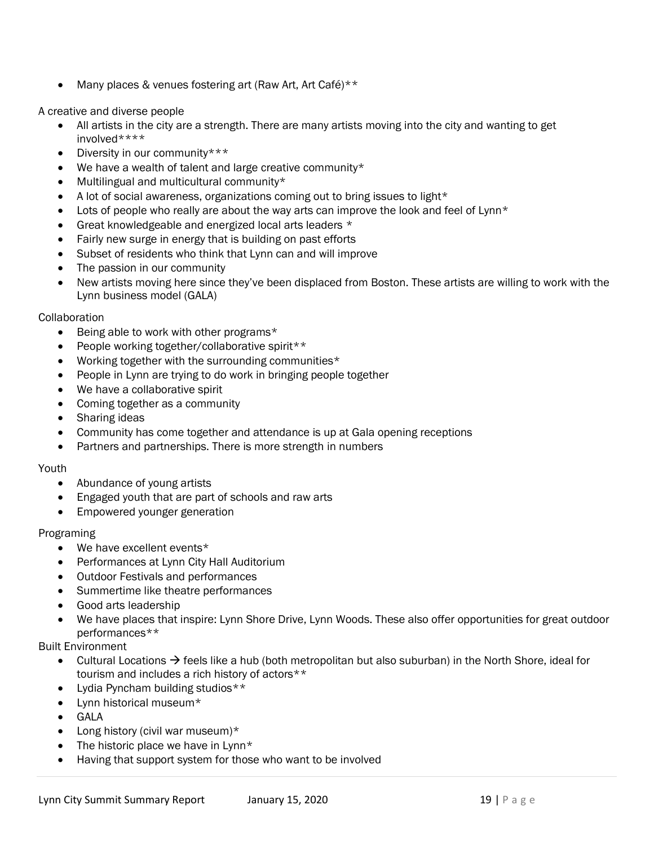• Many places & venues fostering art (Raw Art, Art Café)\*\*

A creative and diverse people

- All artists in the city are a strength. There are many artists moving into the city and wanting to get involved\*\*\*\*
- Diversity in our community\*\*\*
- We have a wealth of talent and large creative community\*
- Multilingual and multicultural community\*
- A lot of social awareness, organizations coming out to bring issues to light\*
- Lots of people who really are about the way arts can improve the look and feel of Lynn $*$
- Great knowledgeable and energized local arts leaders \*
- Fairly new surge in energy that is building on past efforts
- Subset of residents who think that Lynn can and will improve
- The passion in our community
- New artists moving here since they've been displaced from Boston. These artists are willing to work with the Lynn business model (GALA)

# Collaboration

- Being able to work with other programs\*
- People working together/collaborative spirit\*\*
- Working together with the surrounding communities\*
- People in Lynn are trying to do work in bringing people together
- We have a collaborative spirit
- Coming together as a community
- Sharing ideas
- Community has come together and attendance is up at Gala opening receptions
- Partners and partnerships. There is more strength in numbers

# Youth

- Abundance of young artists
- Engaged youth that are part of schools and raw arts
- Empowered younger generation

# Programing

- We have excellent events\*
- Performances at Lynn City Hall Auditorium
- Outdoor Festivals and performances
- Summertime like theatre performances
- Good arts leadership
- We have places that inspire: Lynn Shore Drive, Lynn Woods. These also offer opportunities for great outdoor performances\*\*

Built Environment

- Cultural Locations  $\rightarrow$  feels like a hub (both metropolitan but also suburban) in the North Shore, ideal for tourism and includes a rich history of actors\*\*
- Lydia Pyncham building studios\*\*
- Lynn historical museum\*
- GALA
- Long history (civil war museum)\*
- The historic place we have in Lynn\*
- Having that support system for those who want to be involved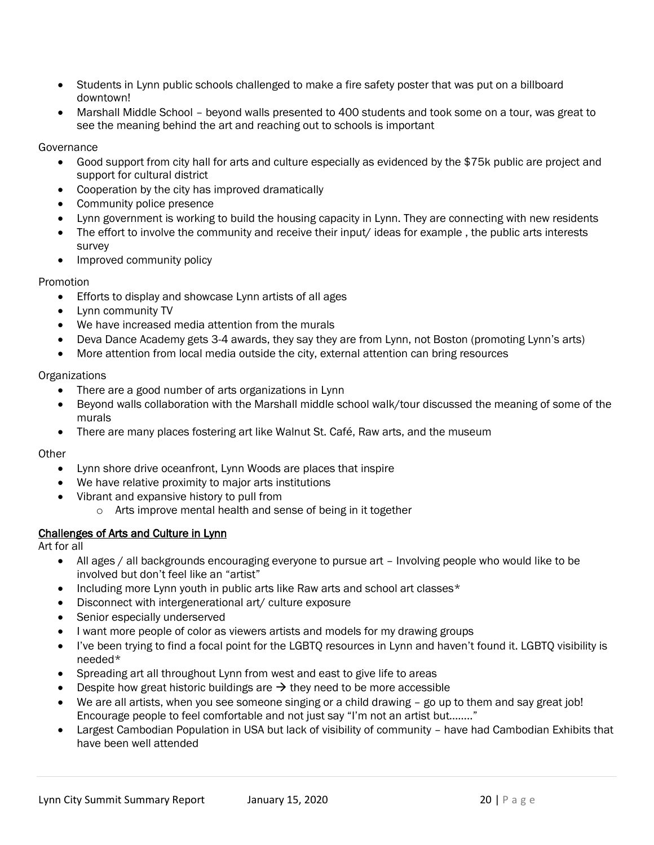- Students in Lynn public schools challenged to make a fire safety poster that was put on a billboard downtown!
- Marshall Middle School beyond walls presented to 400 students and took some on a tour, was great to see the meaning behind the art and reaching out to schools is important

Governance

- Good support from city hall for arts and culture especially as evidenced by the \$75k public are project and support for cultural district
- Cooperation by the city has improved dramatically
- Community police presence
- Lynn government is working to build the housing capacity in Lynn. They are connecting with new residents
- The effort to involve the community and receive their input/ ideas for example, the public arts interests survey
- Improved community policy

# Promotion

- Efforts to display and showcase Lynn artists of all ages
- Lynn community TV
- We have increased media attention from the murals
- Deva Dance Academy gets 3-4 awards, they say they are from Lynn, not Boston (promoting Lynn's arts)
- More attention from local media outside the city, external attention can bring resources

# **Organizations**

- There are a good number of arts organizations in Lynn
- Beyond walls collaboration with the Marshall middle school walk/tour discussed the meaning of some of the murals
- There are many places fostering art like Walnut St. Café, Raw arts, and the museum

# **Other**

- Lynn shore drive oceanfront, Lynn Woods are places that inspire
- We have relative proximity to major arts institutions
- Vibrant and expansive history to pull from
	- o Arts improve mental health and sense of being in it together

# Challenges of Arts and Culture in Lynn

Art for all

- All ages / all backgrounds encouraging everyone to pursue art Involving people who would like to be involved but don't feel like an "artist"
- Including more Lynn youth in public arts like Raw arts and school art classes\*
- Disconnect with intergenerational art/ culture exposure
- Senior especially underserved
- I want more people of color as viewers artists and models for my drawing groups
- I've been trying to find a focal point for the LGBTQ resources in Lynn and haven't found it. LGBTQ visibility is needed\*
- Spreading art all throughout Lynn from west and east to give life to areas
- Despite how great historic buildings are  $\rightarrow$  they need to be more accessible
- We are all artists, when you see someone singing or a child drawing go up to them and say great job! Encourage people to feel comfortable and not just say "I'm not an artist but…….."
- Largest Cambodian Population in USA but lack of visibility of community have had Cambodian Exhibits that have been well attended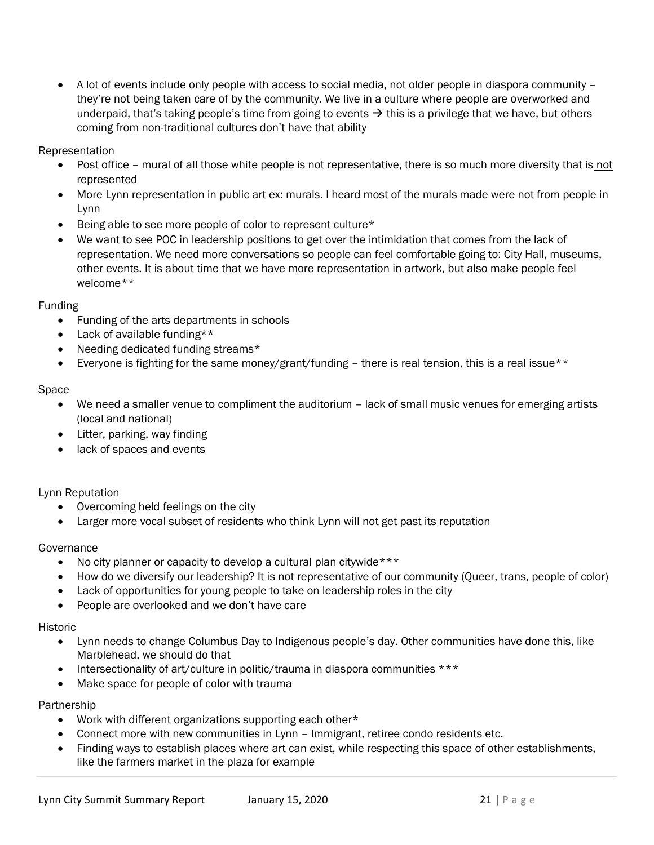• A lot of events include only people with access to social media, not older people in diaspora community – they're not being taken care of by the community. We live in a culture where people are overworked and underpaid, that's taking people's time from going to events  $\rightarrow$  this is a privilege that we have, but others coming from non-traditional cultures don't have that ability

Representation

- Post office mural of all those white people is not representative, there is so much more diversity that is not represented
- More Lynn representation in public art ex: murals. I heard most of the murals made were not from people in Lynn
- Being able to see more people of color to represent culture\*
- We want to see POC in leadership positions to get over the intimidation that comes from the lack of representation. We need more conversations so people can feel comfortable going to: City Hall, museums, other events. It is about time that we have more representation in artwork, but also make people feel welcome\*\*

Funding

- Funding of the arts departments in schools
- Lack of available funding\*\*
- Needing dedicated funding streams\*
- Everyone is fighting for the same money/grant/funding there is real tension, this is a real issue\*\*

#### Space

- We need a smaller venue to compliment the auditorium lack of small music venues for emerging artists (local and national)
- Litter, parking, way finding
- lack of spaces and events

Lynn Reputation

- Overcoming held feelings on the city
- Larger more vocal subset of residents who think Lynn will not get past its reputation

#### Governance

- No city planner or capacity to develop a cultural plan citywide\*\*\*
- How do we diversify our leadership? It is not representative of our community (Queer, trans, people of color)
- Lack of opportunities for young people to take on leadership roles in the city
- People are overlooked and we don't have care

# Historic

- Lynn needs to change Columbus Day to Indigenous people's day. Other communities have done this, like Marblehead, we should do that
- Intersectionality of art/culture in politic/trauma in diaspora communities \*\*\*
- Make space for people of color with trauma

Partnership

- Work with different organizations supporting each other\*
- Connect more with new communities in Lynn Immigrant, retiree condo residents etc.
- Finding ways to establish places where art can exist, while respecting this space of other establishments, like the farmers market in the plaza for example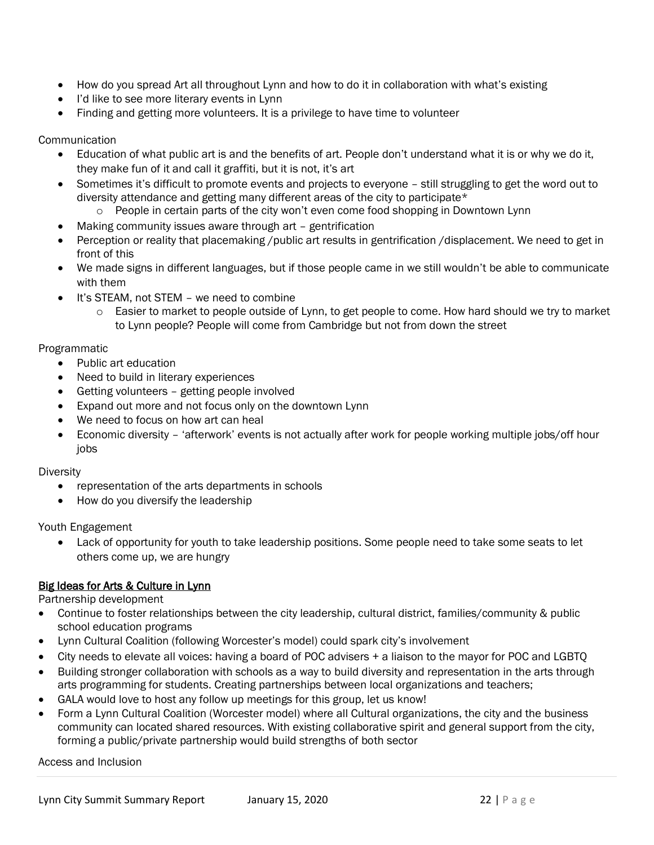- How do you spread Art all throughout Lynn and how to do it in collaboration with what's existing
- I'd like to see more literary events in Lynn
- Finding and getting more volunteers. It is a privilege to have time to volunteer

**Communication** 

- Education of what public art is and the benefits of art. People don't understand what it is or why we do it, they make fun of it and call it graffiti, but it is not, it's art
- Sometimes it's difficult to promote events and projects to everyone still struggling to get the word out to diversity attendance and getting many different areas of the city to participate\*
	- $\circ$  People in certain parts of the city won't even come food shopping in Downtown Lynn
- Making community issues aware through art gentrification
- Perception or reality that placemaking /public art results in gentrification /displacement. We need to get in front of this
- We made signs in different languages, but if those people came in we still wouldn't be able to communicate with them
- It's STEAM, not STEM we need to combine
	- o Easier to market to people outside of Lynn, to get people to come. How hard should we try to market to Lynn people? People will come from Cambridge but not from down the street

Programmatic

- Public art education
- Need to build in literary experiences
- Getting volunteers getting people involved
- Expand out more and not focus only on the downtown Lynn
- We need to focus on how art can heal
- Economic diversity 'afterwork' events is not actually after work for people working multiple jobs/off hour jobs

**Diversity** 

- representation of the arts departments in schools
- How do you diversify the leadership

Youth Engagement

• Lack of opportunity for youth to take leadership positions. Some people need to take some seats to let others come up, we are hungry

# Big Ideas for Arts & Culture in Lynn

Partnership development

- Continue to foster relationships between the city leadership, cultural district, families/community & public school education programs
- Lynn Cultural Coalition (following Worcester's model) could spark city's involvement
- City needs to elevate all voices: having a board of POC advisers + a liaison to the mayor for POC and LGBTQ
- Building stronger collaboration with schools as a way to build diversity and representation in the arts through arts programming for students. Creating partnerships between local organizations and teachers;
- GALA would love to host any follow up meetings for this group, let us know!
- Form a Lynn Cultural Coalition (Worcester model) where all Cultural organizations, the city and the business community can located shared resources. With existing collaborative spirit and general support from the city, forming a public/private partnership would build strengths of both sector

Access and Inclusion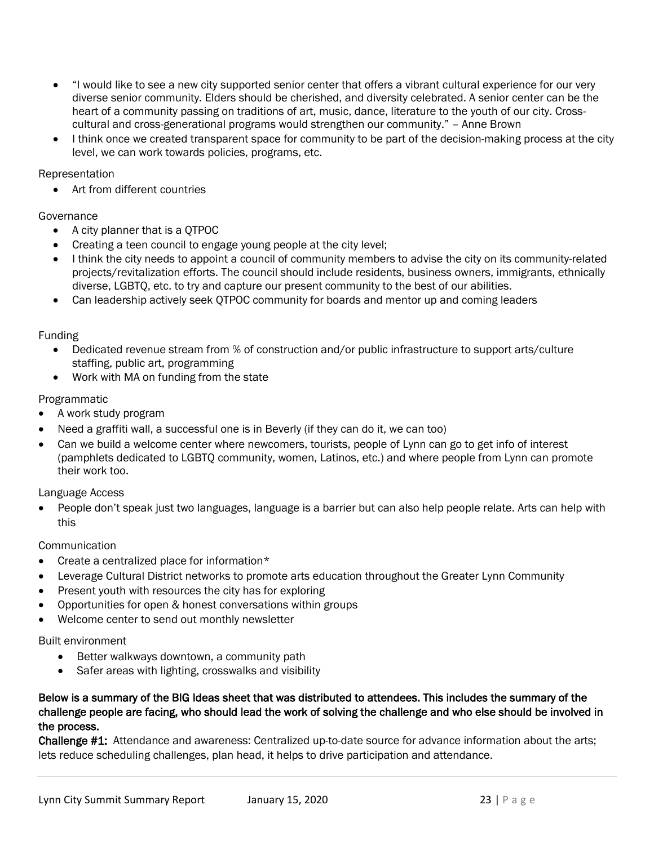- "I would like to see a new city supported senior center that offers a vibrant cultural experience for our very diverse senior community. Elders should be cherished, and diversity celebrated. A senior center can be the heart of a community passing on traditions of art, music, dance, literature to the youth of our city. Crosscultural and cross-generational programs would strengthen our community." – Anne Brown
- I think once we created transparent space for community to be part of the decision-making process at the city level, we can work towards policies, programs, etc.

# Representation

• Art from different countries

# Governance

- A city planner that is a QTPOC
- Creating a teen council to engage young people at the city level;
- I think the city needs to appoint a council of community members to advise the city on its community-related projects/revitalization efforts. The council should include residents, business owners, immigrants, ethnically diverse, LGBTQ, etc. to try and capture our present community to the best of our abilities.
- Can leadership actively seek QTPOC community for boards and mentor up and coming leaders

# Funding

- Dedicated revenue stream from % of construction and/or public infrastructure to support arts/culture staffing, public art, programming
- Work with MA on funding from the state

# Programmatic

- A work study program
- Need a graffiti wall, a successful one is in Beverly (if they can do it, we can too)
- Can we build a welcome center where newcomers, tourists, people of Lynn can go to get info of interest (pamphlets dedicated to LGBTQ community, women, Latinos, etc.) and where people from Lynn can promote their work too.

Language Access

• People don't speak just two languages, language is a barrier but can also help people relate. Arts can help with this

# **Communication**

- Create a centralized place for information\*
- Leverage Cultural District networks to promote arts education throughout the Greater Lynn Community
- Present youth with resources the city has for exploring
- Opportunities for open & honest conversations within groups
- Welcome center to send out monthly newsletter

# Built environment

- Better walkways downtown, a community path
- Safer areas with lighting, crosswalks and visibility

# Below is a summary of the BIG Ideas sheet that was distributed to attendees. This includes the summary of the challenge people are facing, who should lead the work of solving the challenge and who else should be involved in the process.

Challenge #1: Attendance and awareness: Centralized up-to-date source for advance information about the arts; lets reduce scheduling challenges, plan head, it helps to drive participation and attendance.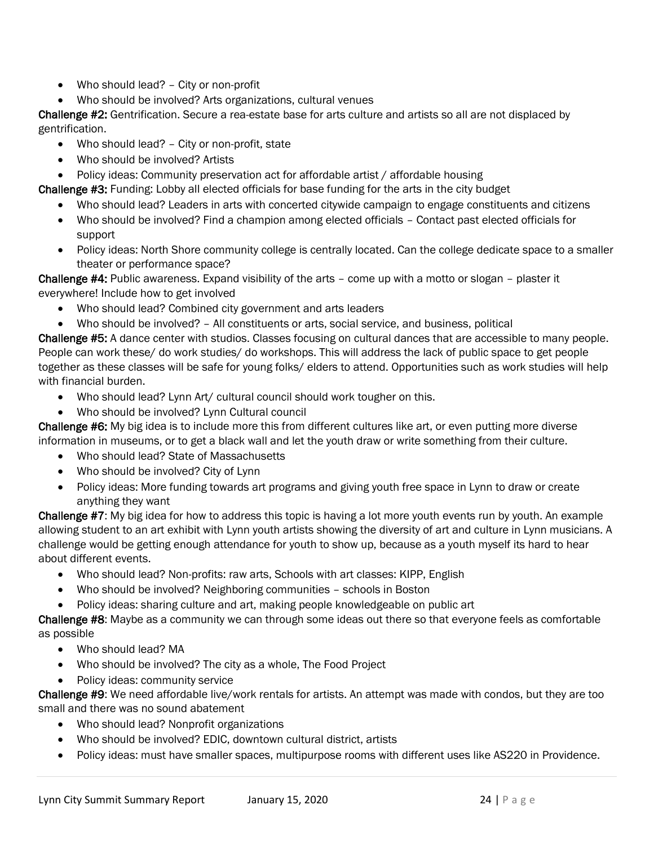- Who should lead? City or non-profit
- Who should be involved? Arts organizations, cultural venues

Challenge #2: Gentrification. Secure a rea-estate base for arts culture and artists so all are not displaced by gentrification.

- Who should lead? City or non-profit, state
- Who should be involved? Artists
- Policy ideas: Community preservation act for affordable artist / affordable housing

Challenge #3: Funding: Lobby all elected officials for base funding for the arts in the city budget

- Who should lead? Leaders in arts with concerted citywide campaign to engage constituents and citizens
- Who should be involved? Find a champion among elected officials Contact past elected officials for support
- Policy ideas: North Shore community college is centrally located. Can the college dedicate space to a smaller theater or performance space?

Challenge #4: Public awareness. Expand visibility of the arts – come up with a motto or slogan – plaster it everywhere! Include how to get involved

- Who should lead? Combined city government and arts leaders
- Who should be involved? All constituents or arts, social service, and business, political

Challenge #5: A dance center with studios. Classes focusing on cultural dances that are accessible to many people. People can work these/ do work studies/ do workshops. This will address the lack of public space to get people together as these classes will be safe for young folks/ elders to attend. Opportunities such as work studies will help with financial burden.

- Who should lead? Lynn Art/ cultural council should work tougher on this.
- Who should be involved? Lynn Cultural council

Challenge #6: My big idea is to include more this from different cultures like art, or even putting more diverse information in museums, or to get a black wall and let the youth draw or write something from their culture.

- Who should lead? State of Massachusetts
- Who should be involved? City of Lynn
- Policy ideas: More funding towards art programs and giving youth free space in Lynn to draw or create anything they want

Challenge #7: My big idea for how to address this topic is having a lot more youth events run by youth. An example allowing student to an art exhibit with Lynn youth artists showing the diversity of art and culture in Lynn musicians. A challenge would be getting enough attendance for youth to show up, because as a youth myself its hard to hear about different events.

- Who should lead? Non-profits: raw arts, Schools with art classes: KIPP, English
- Who should be involved? Neighboring communities schools in Boston
- Policy ideas: sharing culture and art, making people knowledgeable on public art

Challenge #8: Maybe as a community we can through some ideas out there so that everyone feels as comfortable as possible

- Who should lead? MA
- Who should be involved? The city as a whole, The Food Project
- Policy ideas: community service

Challenge #9: We need affordable live/work rentals for artists. An attempt was made with condos, but they are too small and there was no sound abatement

- Who should lead? Nonprofit organizations
- Who should be involved? EDIC, downtown cultural district, artists
- Policy ideas: must have smaller spaces, multipurpose rooms with different uses like AS220 in Providence.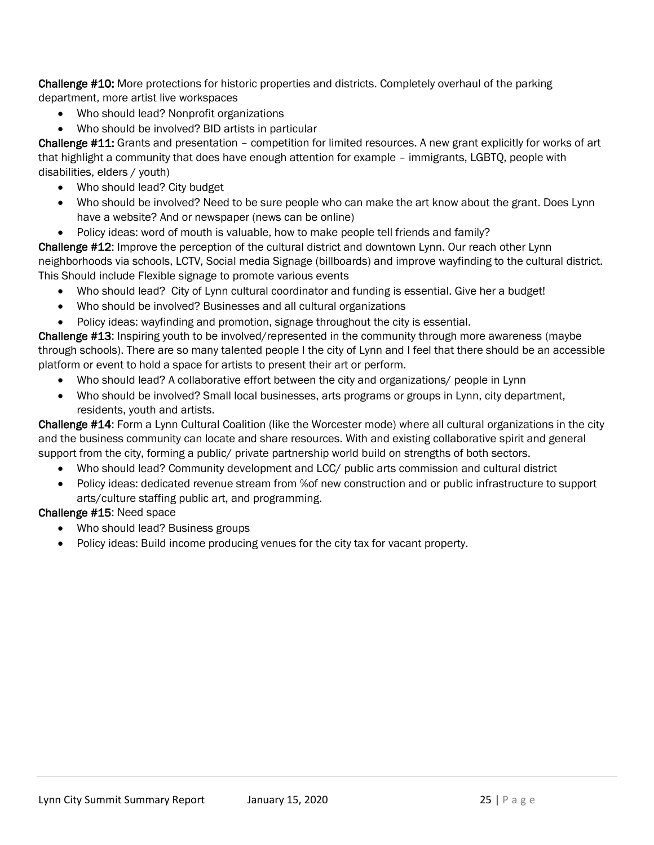Challenge #10: More protections for historic properties and districts. Completely overhaul of the parking department, more artist live workspaces

- Who should lead? Nonprofit organizations
- Who should be involved? BID artists in particular

Challenge #11: Grants and presentation – competition for limited resources. A new grant explicitly for works of art that highlight a community that does have enough attention for example – immigrants, LGBTQ, people with disabilities, elders / youth)

- Who should lead? City budget
- Who should be involved? Need to be sure people who can make the art know about the grant. Does Lynn have a website? And or newspaper (news can be online)
- Policy ideas: word of mouth is valuable, how to make people tell friends and family?

Challenge #12: Improve the perception of the cultural district and downtown Lynn. Our reach other Lynn neighborhoods via schools, LCTV, Social media Signage (billboards) and improve wayfinding to the cultural district. This Should include Flexible signage to promote various events

- Who should lead? City of Lynn cultural coordinator and funding is essential. Give her a budget!
- Who should be involved? Businesses and all cultural organizations
- Policy ideas: wayfinding and promotion, signage throughout the city is essential.

Challenge #13: Inspiring youth to be involved/represented in the community through more awareness (maybe through schools). There are so many talented people I the city of Lynn and I feel that there should be an accessible platform or event to hold a space for artists to present their art or perform.

- Who should lead? A collaborative effort between the city and organizations/ people in Lynn
- Who should be involved? Small local businesses, arts programs or groups in Lynn, city department, residents, youth and artists.

Challenge #14: Form a Lynn Cultural Coalition (like the Worcester mode) where all cultural organizations in the city and the business community can locate and share resources. With and existing collaborative spirit and general support from the city, forming a public/ private partnership world build on strengths of both sectors.

- Who should lead? Community development and LCC/ public arts commission and cultural district
- Policy ideas: dedicated revenue stream from %of new construction and or public infrastructure to support arts/culture staffing public art, and programming.

# Challenge #15: Need space

- Who should lead? Business groups
- Policy ideas: Build income producing venues for the city tax for vacant property.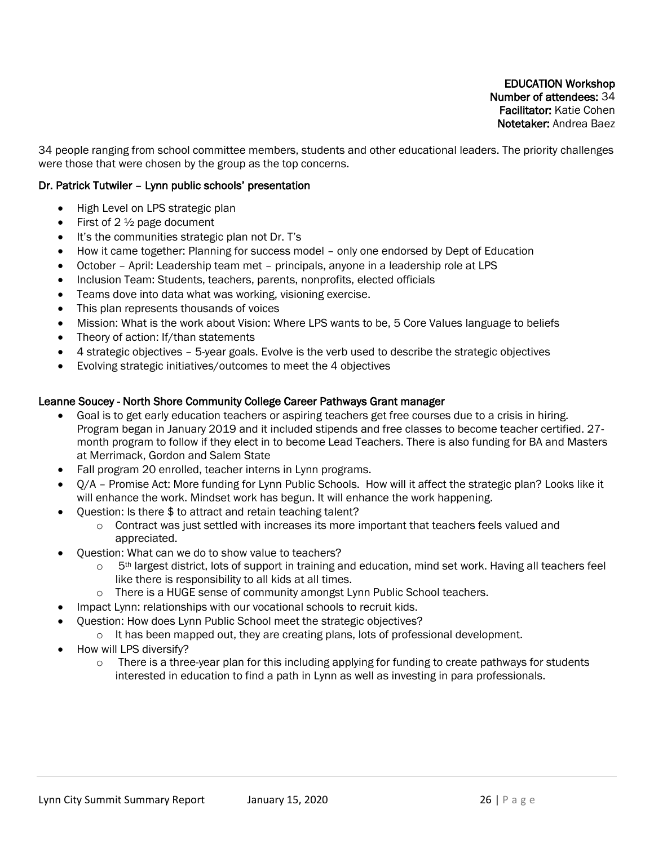EDUCATION Workshop Number of attendees: 34 Facilitator: Katie Cohen Notetaker: Andrea Baez

34 people ranging from school committee members, students and other educational leaders. The priority challenges were those that were chosen by the group as the top concerns.

# Dr. Patrick Tutwiler – Lynn public schools' presentation

- High Level on LPS strategic plan
- First of 2  $\frac{1}{2}$  page document
- It's the communities strategic plan not Dr. T's
- How it came together: Planning for success model only one endorsed by Dept of Education
- October April: Leadership team met principals, anyone in a leadership role at LPS
- Inclusion Team: Students, teachers, parents, nonprofits, elected officials
- Teams dove into data what was working, visioning exercise.
- This plan represents thousands of voices
- Mission: What is the work about Vision: Where LPS wants to be, 5 Core Values language to beliefs
- Theory of action: If/than statements
- 4 strategic objectives 5-year goals. Evolve is the verb used to describe the strategic objectives
- Evolving strategic initiatives/outcomes to meet the 4 objectives

# Leanne Soucey - North Shore Community College Career Pathways Grant manager

- Goal is to get early education teachers or aspiring teachers get free courses due to a crisis in hiring. Program began in January 2019 and it included stipends and free classes to become teacher certified. 27 month program to follow if they elect in to become Lead Teachers. There is also funding for BA and Masters at Merrimack, Gordon and Salem State
- Fall program 20 enrolled, teacher interns in Lynn programs.
- Q/A Promise Act: More funding for Lynn Public Schools. How will it affect the strategic plan? Looks like it will enhance the work. Mindset work has begun. It will enhance the work happening.
- Question: Is there \$ to attract and retain teaching talent?
	- $\circ$  Contract was just settled with increases its more important that teachers feels valued and appreciated.
- Question: What can we do to show value to teachers?
	- $\circ$  5<sup>th</sup> largest district, lots of support in training and education, mind set work. Having all teachers feel like there is responsibility to all kids at all times.
	- o There is a HUGE sense of community amongst Lynn Public School teachers.
- Impact Lynn: relationships with our vocational schools to recruit kids.
- Question: How does Lynn Public School meet the strategic objectives?
	- $\circ$  It has been mapped out, they are creating plans, lots of professional development.
- How will LPS diversify?
	- o There is a three-year plan for this including applying for funding to create pathways for students interested in education to find a path in Lynn as well as investing in para professionals.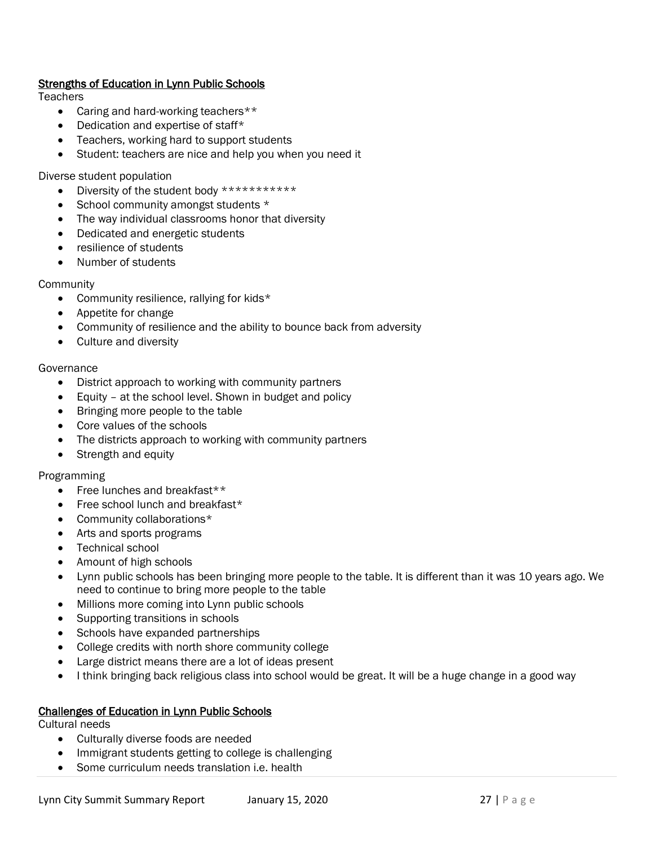# Strengths of Education in Lynn Public Schools

Teachers

- Caring and hard-working teachers\*\*
- Dedication and expertise of staff\*
- Teachers, working hard to support students
- Student: teachers are nice and help you when you need it

#### Diverse student population

- Diversity of the student body \*\*\*\*\*\*\*\*\*\*\*
- School community amongst students \*
- The way individual classrooms honor that diversity
- Dedicated and energetic students
- resilience of students
- Number of students

#### **Community**

- Community resilience, rallying for kids\*
- Appetite for change
- Community of resilience and the ability to bounce back from adversity
- Culture and diversity

#### Governance

- District approach to working with community partners
- Equity at the school level. Shown in budget and policy
- Bringing more people to the table
- Core values of the schools
- The districts approach to working with community partners
- Strength and equity

#### Programming

- Free lunches and breakfast\*\*
- Free school lunch and breakfast\*
- Community collaborations\*
- Arts and sports programs
- Technical school
- Amount of high schools
- Lynn public schools has been bringing more people to the table. It is different than it was 10 years ago. We need to continue to bring more people to the table
- Millions more coming into Lynn public schools
- Supporting transitions in schools
- Schools have expanded partnerships
- College credits with north shore community college
- Large district means there are a lot of ideas present
- I think bringing back religious class into school would be great. It will be a huge change in a good way

# Challenges of Education in Lynn Public Schools

Cultural needs

- Culturally diverse foods are needed
- Immigrant students getting to college is challenging
- Some curriculum needs translation i.e. health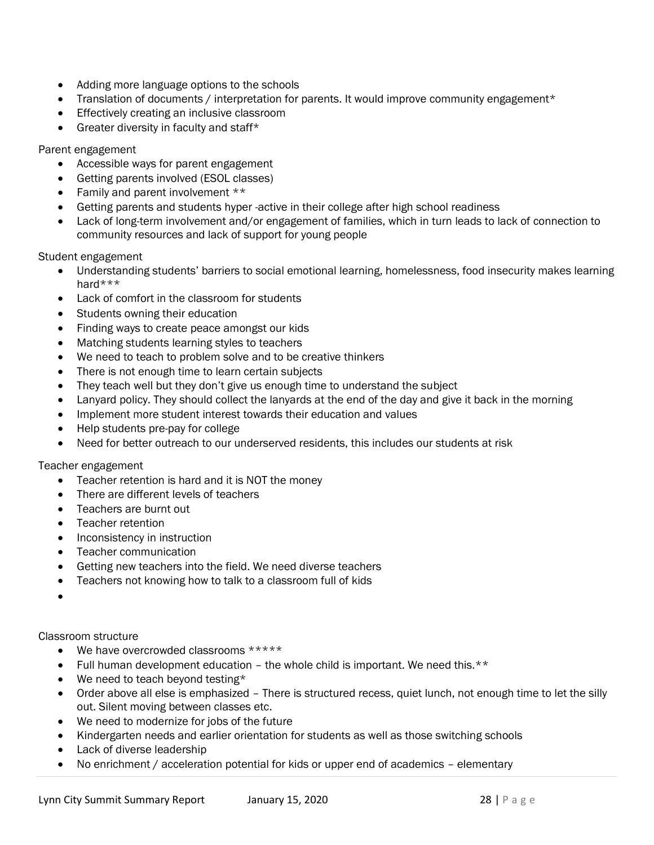- Adding more language options to the schools
- Translation of documents / interpretation for parents. It would improve community engagement\*
- Effectively creating an inclusive classroom
- Greater diversity in faculty and staff\*

Parent engagement

- Accessible ways for parent engagement
- Getting parents involved (ESOL classes)
- Family and parent involvement \*\*
- Getting parents and students hyper -active in their college after high school readiness
- Lack of long-term involvement and/or engagement of families, which in turn leads to lack of connection to community resources and lack of support for young people

Student engagement

- Understanding students' barriers to social emotional learning, homelessness, food insecurity makes learning hard\*\*\*
- Lack of comfort in the classroom for students
- Students owning their education
- Finding ways to create peace amongst our kids
- Matching students learning styles to teachers
- We need to teach to problem solve and to be creative thinkers
- There is not enough time to learn certain subjects
- They teach well but they don't give us enough time to understand the subject
- Lanyard policy. They should collect the lanyards at the end of the day and give it back in the morning
- Implement more student interest towards their education and values
- Help students pre-pay for college
- Need for better outreach to our underserved residents, this includes our students at risk

Teacher engagement

- Teacher retention is hard and it is NOT the money
- There are different levels of teachers
- Teachers are burnt out
- Teacher retention
- Inconsistency in instruction
- Teacher communication
- Getting new teachers into the field. We need diverse teachers
- Teachers not knowing how to talk to a classroom full of kids
- •

Classroom structure

- We have overcrowded classrooms \*\*\*\*\*
- Full human development education  $-$  the whole child is important. We need this.\*\*
- We need to teach beyond testing\*
- Order above all else is emphasized There is structured recess, quiet lunch, not enough time to let the silly out. Silent moving between classes etc.
- We need to modernize for jobs of the future
- Kindergarten needs and earlier orientation for students as well as those switching schools
- Lack of diverse leadership
- No enrichment / acceleration potential for kids or upper end of academics elementary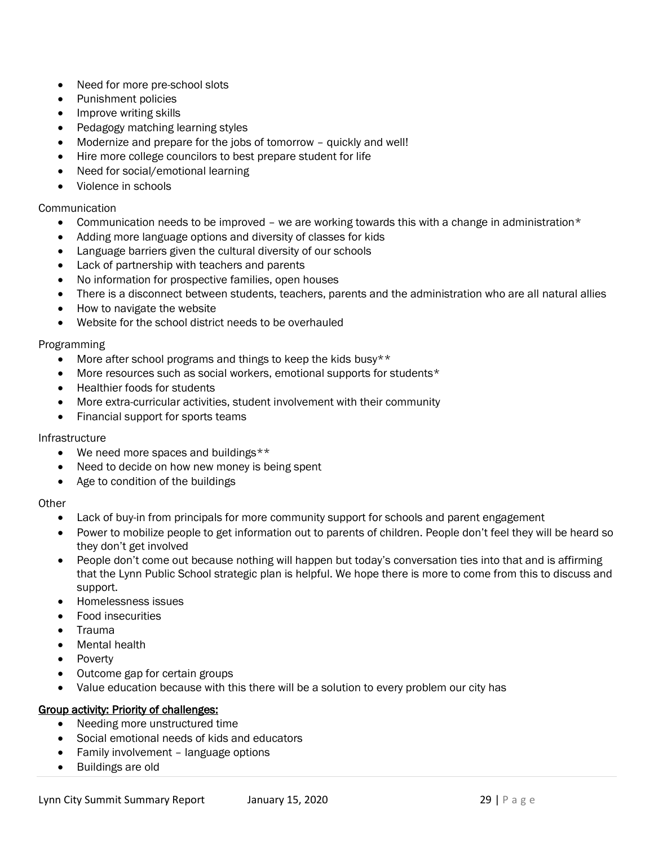- Need for more pre-school slots
- Punishment policies
- Improve writing skills
- Pedagogy matching learning styles
- Modernize and prepare for the jobs of tomorrow quickly and well!
- Hire more college councilors to best prepare student for life
- Need for social/emotional learning
- Violence in schools

Communication

- Communication needs to be improved we are working towards this with a change in administration\*
- Adding more language options and diversity of classes for kids
- Language barriers given the cultural diversity of our schools
- Lack of partnership with teachers and parents
- No information for prospective families, open houses
- There is a disconnect between students, teachers, parents and the administration who are all natural allies
- How to navigate the website
- Website for the school district needs to be overhauled

#### Programming

- More after school programs and things to keep the kids busy\*\*
- More resources such as social workers, emotional supports for students\*
- Healthier foods for students
- More extra-curricular activities, student involvement with their community
- Financial support for sports teams

#### Infrastructure

- We need more spaces and buildings\*\*
- Need to decide on how new money is being spent
- Age to condition of the buildings

#### **Other**

- Lack of buy-in from principals for more community support for schools and parent engagement
- Power to mobilize people to get information out to parents of children. People don't feel they will be heard so they don't get involved
- People don't come out because nothing will happen but today's conversation ties into that and is affirming that the Lynn Public School strategic plan is helpful. We hope there is more to come from this to discuss and support.
- Homelessness issues
- Food insecurities
- Trauma
- Mental health
- Poverty
- Outcome gap for certain groups
- Value education because with this there will be a solution to every problem our city has

# Group activity: Priority of challenges:

- Needing more unstructured time
- Social emotional needs of kids and educators
- Family involvement language options
- Buildings are old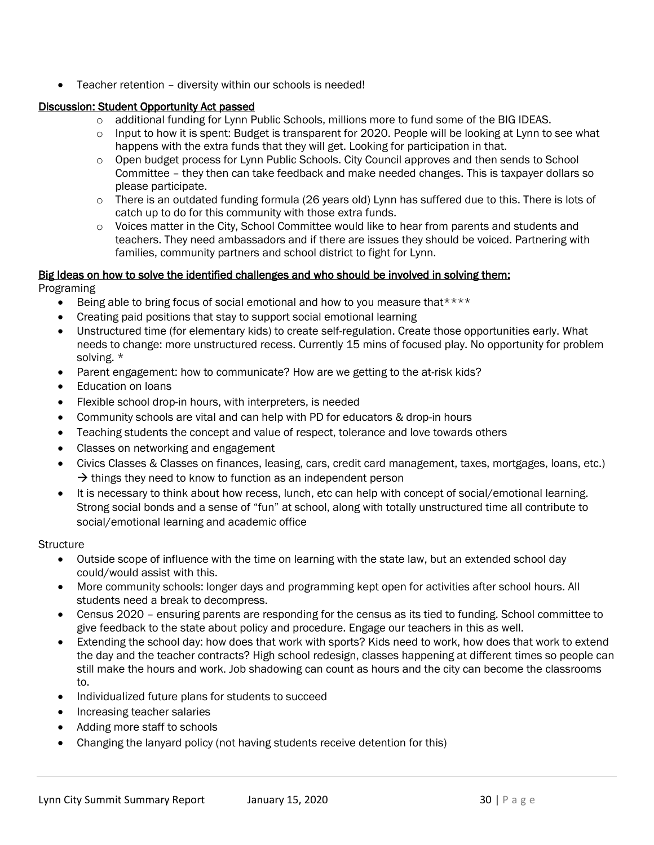• Teacher retention – diversity within our schools is needed!

# Discussion: Student Opportunity Act passed

- o additional funding for Lynn Public Schools, millions more to fund some of the BIG IDEAS.
- $\circ$  Input to how it is spent: Budget is transparent for 2020. People will be looking at Lynn to see what happens with the extra funds that they will get. Looking for participation in that.
- o Open budget process for Lynn Public Schools. City Council approves and then sends to School Committee – they then can take feedback and make needed changes. This is taxpayer dollars so please participate.
- $\circ$  There is an outdated funding formula (26 years old) Lynn has suffered due to this. There is lots of catch up to do for this community with those extra funds.
- $\circ$  Voices matter in the City, School Committee would like to hear from parents and students and teachers. They need ambassadors and if there are issues they should be voiced. Partnering with families, community partners and school district to fight for Lynn.

# Big Ideas on how to solve the identified challenges and who should be involved in solving them:

Programing

- Being able to bring focus of social emotional and how to you measure that \*\*\*\*
- Creating paid positions that stay to support social emotional learning
- Unstructured time (for elementary kids) to create self-regulation. Create those opportunities early. What needs to change: more unstructured recess. Currently 15 mins of focused play. No opportunity for problem solving. \*
- Parent engagement: how to communicate? How are we getting to the at-risk kids?
- Education on loans
- Flexible school drop-in hours, with interpreters, is needed
- Community schools are vital and can help with PD for educators & drop-in hours
- Teaching students the concept and value of respect, tolerance and love towards others
- Classes on networking and engagement
- Civics Classes & Classes on finances, leasing, cars, credit card management, taxes, mortgages, loans, etc.)  $\rightarrow$  things they need to know to function as an independent person
- It is necessary to think about how recess, lunch, etc can help with concept of social/emotional learning. Strong social bonds and a sense of "fun" at school, along with totally unstructured time all contribute to social/emotional learning and academic office

# **Structure**

- Outside scope of influence with the time on learning with the state law, but an extended school day could/would assist with this.
- More community schools: longer days and programming kept open for activities after school hours. All students need a break to decompress.
- Census 2020 ensuring parents are responding for the census as its tied to funding. School committee to give feedback to the state about policy and procedure. Engage our teachers in this as well.
- Extending the school day: how does that work with sports? Kids need to work, how does that work to extend the day and the teacher contracts? High school redesign, classes happening at different times so people can still make the hours and work. Job shadowing can count as hours and the city can become the classrooms to.
- Individualized future plans for students to succeed
- Increasing teacher salaries
- Adding more staff to schools
- Changing the lanyard policy (not having students receive detention for this)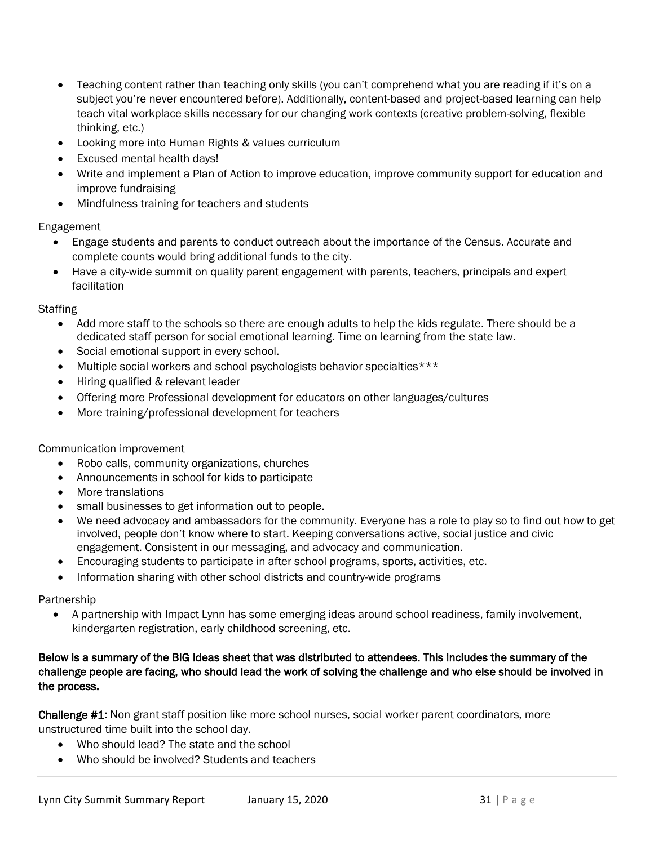- Teaching content rather than teaching only skills (you can't comprehend what you are reading if it's on a subject you're never encountered before). Additionally, content-based and project-based learning can help teach vital workplace skills necessary for our changing work contexts (creative problem-solving, flexible thinking, etc.)
- Looking more into Human Rights & values curriculum
- Excused mental health days!
- Write and implement a Plan of Action to improve education, improve community support for education and improve fundraising
- Mindfulness training for teachers and students

Engagement

- Engage students and parents to conduct outreach about the importance of the Census. Accurate and complete counts would bring additional funds to the city.
- Have a city-wide summit on quality parent engagement with parents, teachers, principals and expert facilitation

**Staffing** 

- Add more staff to the schools so there are enough adults to help the kids regulate. There should be a dedicated staff person for social emotional learning. Time on learning from the state law.
- Social emotional support in every school.
- Multiple social workers and school psychologists behavior specialties\*\*\*
- Hiring qualified & relevant leader
- Offering more Professional development for educators on other languages/cultures
- More training/professional development for teachers

Communication improvement

- Robo calls, community organizations, churches
- Announcements in school for kids to participate
- More translations
- small businesses to get information out to people.
- We need advocacy and ambassadors for the community. Everyone has a role to play so to find out how to get involved, people don't know where to start. Keeping conversations active, social justice and civic engagement. Consistent in our messaging, and advocacy and communication.
- Encouraging students to participate in after school programs, sports, activities, etc.
- Information sharing with other school districts and country-wide programs

Partnership

• A partnership with Impact Lynn has some emerging ideas around school readiness, family involvement, kindergarten registration, early childhood screening, etc.

# Below is a summary of the BIG Ideas sheet that was distributed to attendees. This includes the summary of the challenge people are facing, who should lead the work of solving the challenge and who else should be involved in the process.

Challenge #1: Non grant staff position like more school nurses, social worker parent coordinators, more unstructured time built into the school day.

- Who should lead? The state and the school
- Who should be involved? Students and teachers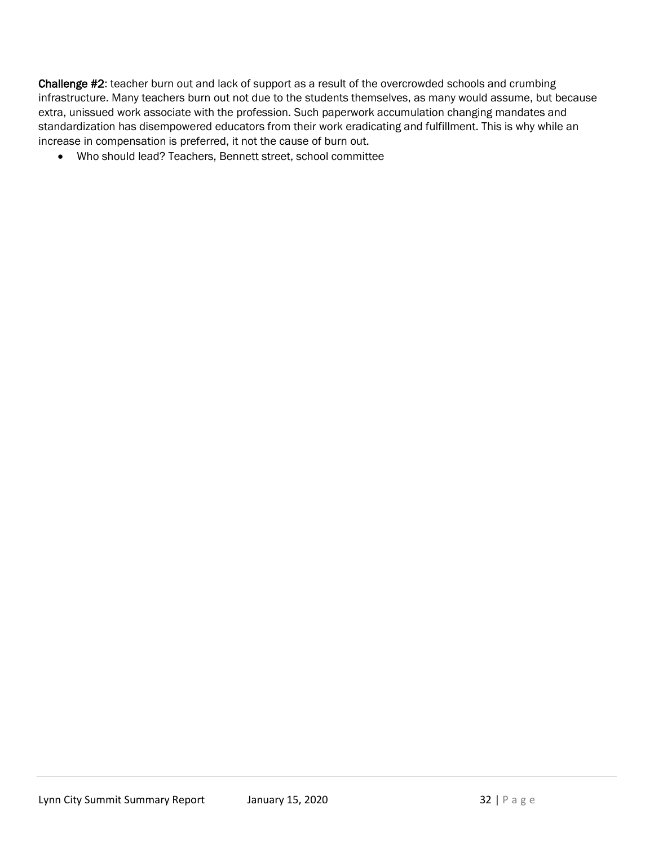Challenge #2: teacher burn out and lack of support as a result of the overcrowded schools and crumbing infrastructure. Many teachers burn out not due to the students themselves, as many would assume, but because extra, unissued work associate with the profession. Such paperwork accumulation changing mandates and standardization has disempowered educators from their work eradicating and fulfillment. This is why while an increase in compensation is preferred, it not the cause of burn out.

• Who should lead? Teachers, Bennett street, school committee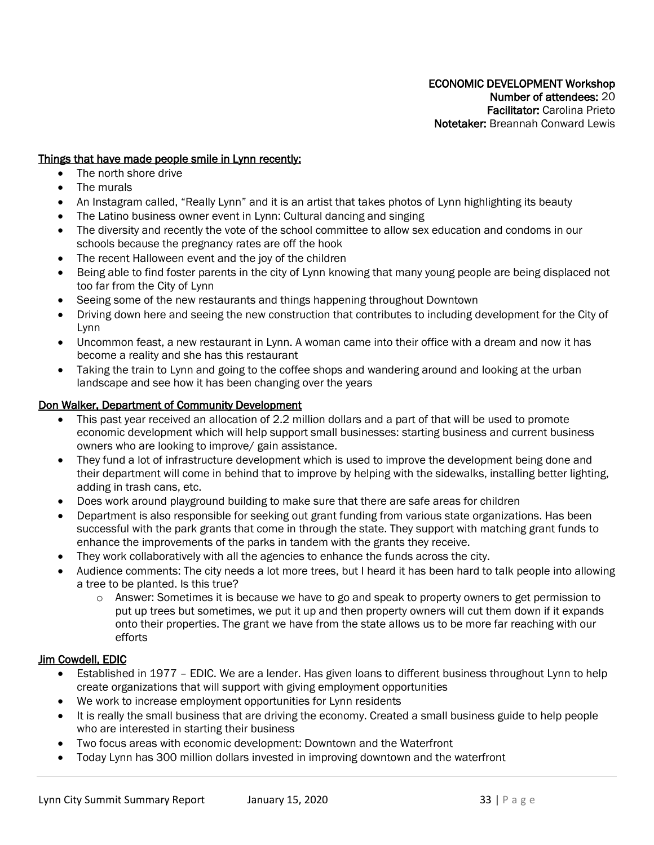# Things that have made people smile in Lynn recently:

- The north shore drive
- The murals
- An Instagram called, "Really Lynn" and it is an artist that takes photos of Lynn highlighting its beauty
- The Latino business owner event in Lynn: Cultural dancing and singing
- The diversity and recently the vote of the school committee to allow sex education and condoms in our schools because the pregnancy rates are off the hook
- The recent Halloween event and the joy of the children
- Being able to find foster parents in the city of Lynn knowing that many young people are being displaced not too far from the City of Lynn
- Seeing some of the new restaurants and things happening throughout Downtown
- Driving down here and seeing the new construction that contributes to including development for the City of Lynn
- Uncommon feast, a new restaurant in Lynn. A woman came into their office with a dream and now it has become a reality and she has this restaurant
- Taking the train to Lynn and going to the coffee shops and wandering around and looking at the urban landscape and see how it has been changing over the years

# Don Walker, Department of Community Development

- This past year received an allocation of 2.2 million dollars and a part of that will be used to promote economic development which will help support small businesses: starting business and current business owners who are looking to improve/ gain assistance.
- They fund a lot of infrastructure development which is used to improve the development being done and their department will come in behind that to improve by helping with the sidewalks, installing better lighting, adding in trash cans, etc.
- Does work around playground building to make sure that there are safe areas for children
- Department is also responsible for seeking out grant funding from various state organizations. Has been successful with the park grants that come in through the state. They support with matching grant funds to enhance the improvements of the parks in tandem with the grants they receive.
- They work collaboratively with all the agencies to enhance the funds across the city.
- Audience comments: The city needs a lot more trees, but I heard it has been hard to talk people into allowing a tree to be planted. Is this true?
	- $\circ$  Answer: Sometimes it is because we have to go and speak to property owners to get permission to put up trees but sometimes, we put it up and then property owners will cut them down if it expands onto their properties. The grant we have from the state allows us to be more far reaching with our efforts

# Jim Cowdell, EDIC

- Established in 1977 EDIC. We are a lender. Has given loans to different business throughout Lynn to help create organizations that will support with giving employment opportunities
- We work to increase employment opportunities for Lynn residents
- It is really the small business that are driving the economy. Created a small business guide to help people who are interested in starting their business
- Two focus areas with economic development: Downtown and the Waterfront
- Today Lynn has 300 million dollars invested in improving downtown and the waterfront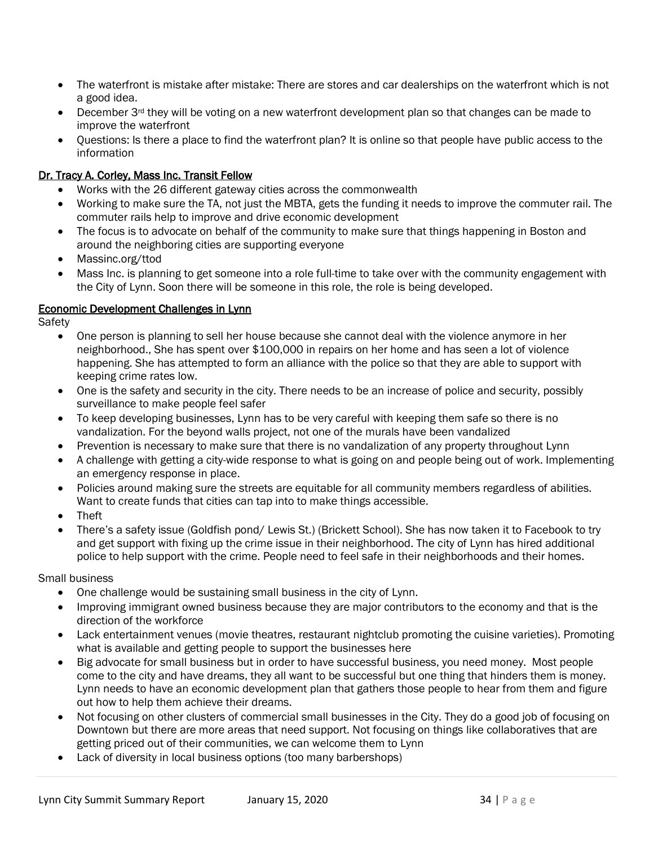- The waterfront is mistake after mistake: There are stores and car dealerships on the waterfront which is not a good idea.
- December  $3<sup>rd</sup>$  they will be voting on a new waterfront development plan so that changes can be made to improve the waterfront
- Questions: Is there a place to find the waterfront plan? It is online so that people have public access to the information

# Dr. Tracy A. Corley, Mass Inc. Transit Fellow

- Works with the 26 different gateway cities across the commonwealth
- Working to make sure the TA, not just the MBTA, gets the funding it needs to improve the commuter rail. The commuter rails help to improve and drive economic development
- The focus is to advocate on behalf of the community to make sure that things happening in Boston and around the neighboring cities are supporting everyone
- Massinc.org/ttod
- Mass Inc. is planning to get someone into a role full-time to take over with the community engagement with the City of Lynn. Soon there will be someone in this role, the role is being developed.

# Economic Development Challenges in Lynn

Safety

- One person is planning to sell her house because she cannot deal with the violence anymore in her neighborhood., She has spent over \$100,000 in repairs on her home and has seen a lot of violence happening. She has attempted to form an alliance with the police so that they are able to support with keeping crime rates low.
- One is the safety and security in the city. There needs to be an increase of police and security, possibly surveillance to make people feel safer
- To keep developing businesses, Lynn has to be very careful with keeping them safe so there is no vandalization. For the beyond walls project, not one of the murals have been vandalized
- Prevention is necessary to make sure that there is no vandalization of any property throughout Lynn
- A challenge with getting a city-wide response to what is going on and people being out of work. Implementing an emergency response in place.
- Policies around making sure the streets are equitable for all community members regardless of abilities. Want to create funds that cities can tap into to make things accessible.
- Theft
- There's a safety issue (Goldfish pond/ Lewis St.) (Brickett School). She has now taken it to Facebook to try and get support with fixing up the crime issue in their neighborhood. The city of Lynn has hired additional police to help support with the crime. People need to feel safe in their neighborhoods and their homes.

Small business

- One challenge would be sustaining small business in the city of Lynn.
- Improving immigrant owned business because they are major contributors to the economy and that is the direction of the workforce
- Lack entertainment venues (movie theatres, restaurant nightclub promoting the cuisine varieties). Promoting what is available and getting people to support the businesses here
- Big advocate for small business but in order to have successful business, you need money. Most people come to the city and have dreams, they all want to be successful but one thing that hinders them is money. Lynn needs to have an economic development plan that gathers those people to hear from them and figure out how to help them achieve their dreams.
- Not focusing on other clusters of commercial small businesses in the City. They do a good job of focusing on Downtown but there are more areas that need support. Not focusing on things like collaboratives that are getting priced out of their communities, we can welcome them to Lynn
- Lack of diversity in local business options (too many barbershops)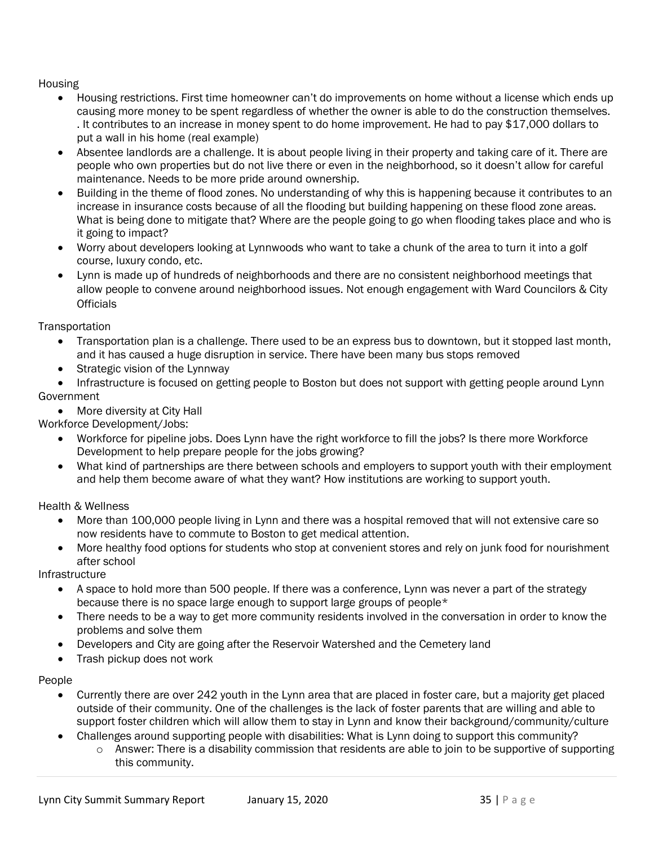# Housing

- Housing restrictions. First time homeowner can't do improvements on home without a license which ends up causing more money to be spent regardless of whether the owner is able to do the construction themselves. . It contributes to an increase in money spent to do home improvement. He had to pay \$17,000 dollars to put a wall in his home (real example)
- Absentee landlords are a challenge. It is about people living in their property and taking care of it. There are people who own properties but do not live there or even in the neighborhood, so it doesn't allow for careful maintenance. Needs to be more pride around ownership.
- Building in the theme of flood zones. No understanding of why this is happening because it contributes to an increase in insurance costs because of all the flooding but building happening on these flood zone areas. What is being done to mitigate that? Where are the people going to go when flooding takes place and who is it going to impact?
- Worry about developers looking at Lynnwoods who want to take a chunk of the area to turn it into a golf course, luxury condo, etc.
- Lynn is made up of hundreds of neighborhoods and there are no consistent neighborhood meetings that allow people to convene around neighborhood issues. Not enough engagement with Ward Councilors & City **Officials**

# **Transportation**

- Transportation plan is a challenge. There used to be an express bus to downtown, but it stopped last month, and it has caused a huge disruption in service. There have been many bus stops removed
- Strategic vision of the Lynnway
- Infrastructure is focused on getting people to Boston but does not support with getting people around Lynn Government
	- More diversity at City Hall

Workforce Development/Jobs:

- Workforce for pipeline jobs. Does Lynn have the right workforce to fill the jobs? Is there more Workforce Development to help prepare people for the jobs growing?
- What kind of partnerships are there between schools and employers to support youth with their employment and help them become aware of what they want? How institutions are working to support youth.

Health & Wellness

- More than 100,000 people living in Lynn and there was a hospital removed that will not extensive care so now residents have to commute to Boston to get medical attention.
- More healthy food options for students who stop at convenient stores and rely on junk food for nourishment after school

Infrastructure

- A space to hold more than 500 people. If there was a conference, Lynn was never a part of the strategy because there is no space large enough to support large groups of people\*
- There needs to be a way to get more community residents involved in the conversation in order to know the problems and solve them
- Developers and City are going after the Reservoir Watershed and the Cemetery land
- Trash pickup does not work

# People

- Currently there are over 242 youth in the Lynn area that are placed in foster care, but a majority get placed outside of their community. One of the challenges is the lack of foster parents that are willing and able to support foster children which will allow them to stay in Lynn and know their background/community/culture
- Challenges around supporting people with disabilities: What is Lynn doing to support this community?
	- $\circ$  Answer: There is a disability commission that residents are able to join to be supportive of supporting this community.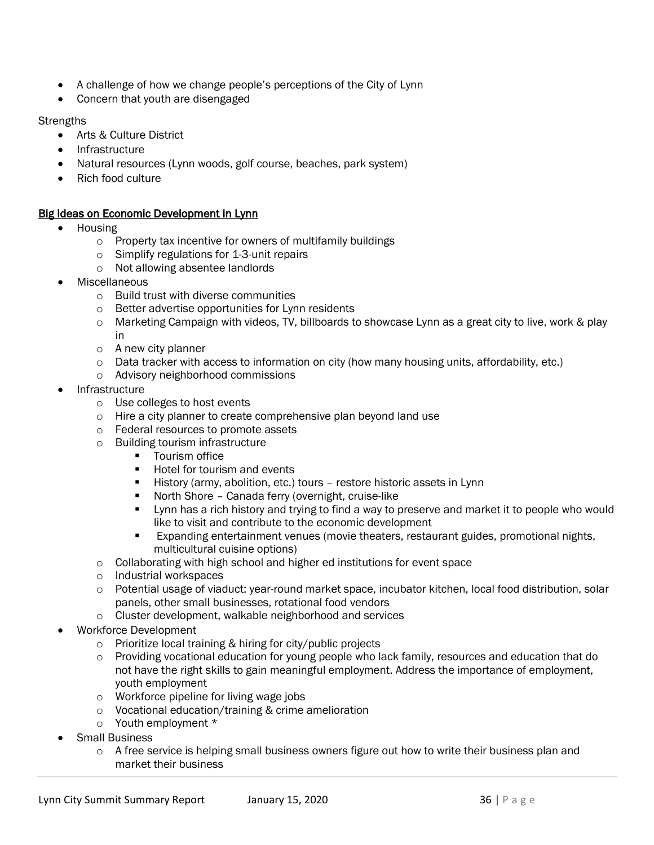- A challenge of how we change people's perceptions of the City of Lynn
- Concern that youth are disengaged

# **Strengths**

- Arts & Culture District
- **Infrastructure**
- Natural resources (Lynn woods, golf course, beaches, park system)
- Rich food culture

# Big Ideas on Economic Development in Lynn

- Housing
	- o Property tax incentive for owners of multifamily buildings
	- o Simplify regulations for 1-3-unit repairs
	- o Not allowing absentee landlords
- **Miscellaneous** 
	- o Build trust with diverse communities
	- o Better advertise opportunities for Lynn residents
	- o Marketing Campaign with videos, TV, billboards to showcase Lynn as a great city to live, work & play in
	- o A new city planner
	- $\circ$  Data tracker with access to information on city (how many housing units, affordability, etc.)
	- o Advisory neighborhood commissions
- **Infrastructure** 
	- o Use colleges to host events
	- o Hire a city planner to create comprehensive plan beyond land use
	- o Federal resources to promote assets
	- o Building tourism infrastructure
		- Tourism office
		- Hotel for tourism and events
		- **E** History (army, abolition, etc.) tours restore historic assets in Lynn
		- North Shore Canada ferry (overnight, cruise-like<br>■ I vnn has a rich history and trying to find a way to p
		- Lynn has a rich history and trying to find a way to preserve and market it to people who would like to visit and contribute to the economic development
		- **Expanding entertainment venues (movie theaters, restaurant guides, promotional nights,** multicultural cuisine options)
	- o Collaborating with high school and higher ed institutions for event space
	- o Industrial workspaces
	- o Potential usage of viaduct: year-round market space, incubator kitchen, local food distribution, solar panels, other small businesses, rotational food vendors
	- o Cluster development, walkable neighborhood and services
- Workforce Development
	- o Prioritize local training & hiring for city/public projects
	- o Providing vocational education for young people who lack family, resources and education that do not have the right skills to gain meaningful employment. Address the importance of employment, youth employment
	- o Workforce pipeline for living wage jobs
	- o Vocational education/training & crime amelioration
	- o Youth employment \*
- Small Business
	- o A free service is helping small business owners figure out how to write their business plan and market their business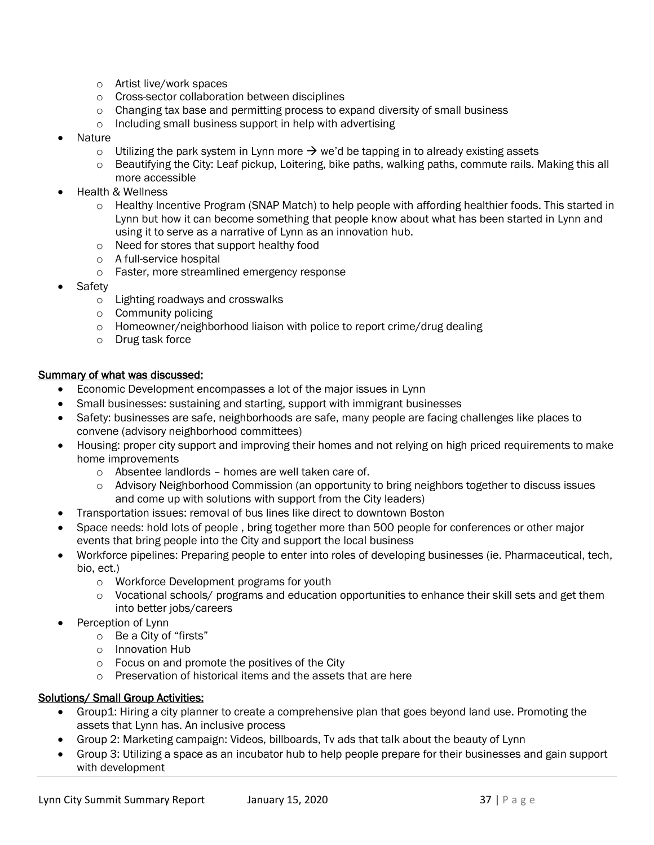- o Artist live/work spaces
- o Cross-sector collaboration between disciplines
- $\circ$  Changing tax base and permitting process to expand diversity of small business
- o Including small business support in help with advertising
- Nature
	- $\circ$  Utilizing the park system in Lynn more  $\rightarrow$  we'd be tapping in to already existing assets
	- o Beautifying the City: Leaf pickup, Loitering, bike paths, walking paths, commute rails. Making this all more accessible
- Health & Wellness
	- o Healthy Incentive Program (SNAP Match) to help people with affording healthier foods. This started in Lynn but how it can become something that people know about what has been started in Lynn and using it to serve as a narrative of Lynn as an innovation hub.
	- o Need for stores that support healthy food
	- o A full-service hospital
	- o Faster, more streamlined emergency response
- **Safety** 
	- o Lighting roadways and crosswalks
	- o Community policing
	- $\circ$  Homeowner/neighborhood liaison with police to report crime/drug dealing
	- o Drug task force

#### Summary of what was discussed:

- Economic Development encompasses a lot of the major issues in Lynn
- Small businesses: sustaining and starting, support with immigrant businesses
- Safety: businesses are safe, neighborhoods are safe, many people are facing challenges like places to convene (advisory neighborhood committees)
- Housing: proper city support and improving their homes and not relying on high priced requirements to make home improvements
	- o Absentee landlords homes are well taken care of.
	- $\circ$  Advisory Neighborhood Commission (an opportunity to bring neighbors together to discuss issues and come up with solutions with support from the City leaders)
- Transportation issues: removal of bus lines like direct to downtown Boston
- Space needs: hold lots of people , bring together more than 500 people for conferences or other major events that bring people into the City and support the local business
- Workforce pipelines: Preparing people to enter into roles of developing businesses (ie. Pharmaceutical, tech, bio, ect.)
	- o Workforce Development programs for youth
	- $\circ$  Vocational schools/ programs and education opportunities to enhance their skill sets and get them into better jobs/careers
- Perception of Lynn
	- o Be a City of "firsts"
	- o Innovation Hub
	- o Focus on and promote the positives of the City
	- o Preservation of historical items and the assets that are here

# Solutions/ Small Group Activities:

- Group1: Hiring a city planner to create a comprehensive plan that goes beyond land use. Promoting the assets that Lynn has. An inclusive process
- Group 2: Marketing campaign: Videos, billboards, Tv ads that talk about the beauty of Lynn
- Group 3: Utilizing a space as an incubator hub to help people prepare for their businesses and gain support with development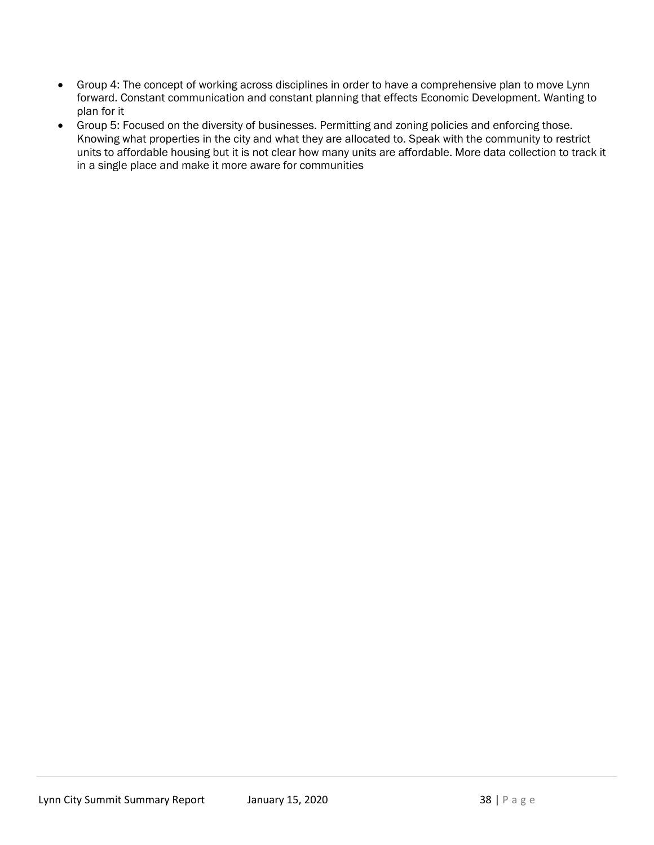- Group 4: The concept of working across disciplines in order to have a comprehensive plan to move Lynn forward. Constant communication and constant planning that effects Economic Development. Wanting to plan for it
- Group 5: Focused on the diversity of businesses. Permitting and zoning policies and enforcing those. Knowing what properties in the city and what they are allocated to. Speak with the community to restrict units to affordable housing but it is not clear how many units are affordable. More data collection to track it in a single place and make it more aware for communities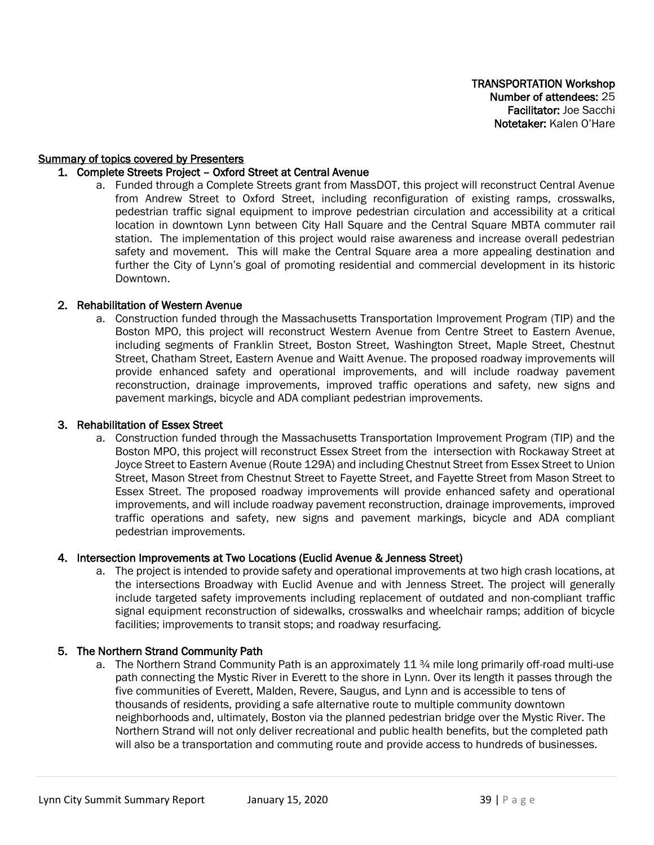# Summary of topics covered by Presenters

#### 1. Complete Streets Project – Oxford Street at Central Avenue

a. Funded through a Complete Streets grant from MassDOT, this project will reconstruct Central Avenue from Andrew Street to Oxford Street, including reconfiguration of existing ramps, crosswalks, pedestrian traffic signal equipment to improve pedestrian circulation and accessibility at a critical location in downtown Lynn between City Hall Square and the Central Square MBTA commuter rail station. The implementation of this project would raise awareness and increase overall pedestrian safety and movement. This will make the Central Square area a more appealing destination and further the City of Lynn's goal of promoting residential and commercial development in its historic Downtown.

#### 2. Rehabilitation of Western Avenue

a. Construction funded through the Massachusetts Transportation Improvement Program (TIP) and the Boston MPO, this project will reconstruct Western Avenue from Centre Street to Eastern Avenue, including segments of Franklin Street, Boston Street, Washington Street, Maple Street, Chestnut Street, Chatham Street, Eastern Avenue and Waitt Avenue. The proposed roadway improvements will provide enhanced safety and operational improvements, and will include roadway pavement reconstruction, drainage improvements, improved traffic operations and safety, new signs and pavement markings, bicycle and ADA compliant pedestrian improvements.

#### 3. Rehabilitation of Essex Street

a. Construction funded through the Massachusetts Transportation Improvement Program (TIP) and the Boston MPO, this project will reconstruct Essex Street from the intersection with Rockaway Street at Joyce Street to Eastern Avenue (Route 129A) and including Chestnut Street from Essex Street to Union Street, Mason Street from Chestnut Street to Fayette Street, and Fayette Street from Mason Street to Essex Street. The proposed roadway improvements will provide enhanced safety and operational improvements, and will include roadway pavement reconstruction, drainage improvements, improved traffic operations and safety, new signs and pavement markings, bicycle and ADA compliant pedestrian improvements.

## 4. Intersection Improvements at Two Locations (Euclid Avenue & Jenness Street)

a. The project is intended to provide safety and operational improvements at two high crash locations, at the intersections Broadway with Euclid Avenue and with Jenness Street. The project will generally include targeted safety improvements including replacement of outdated and non-compliant traffic signal equipment reconstruction of sidewalks, crosswalks and wheelchair ramps; addition of bicycle facilities; improvements to transit stops; and roadway resurfacing.

#### 5. The Northern Strand Community Path

a. The Northern Strand Community Path is an approximately 11 3/4 mile long primarily off-road multi-use path connecting the Mystic River in Everett to the shore in Lynn. Over its length it passes through the five communities of Everett, Malden, Revere, Saugus, and Lynn and is accessible to tens of thousands of residents, providing a safe alternative route to multiple community downtown neighborhoods and, ultimately, Boston via the planned pedestrian bridge over the Mystic River. The Northern Strand will not only deliver recreational and public health benefits, but the completed path will also be a transportation and commuting route and provide access to hundreds of businesses.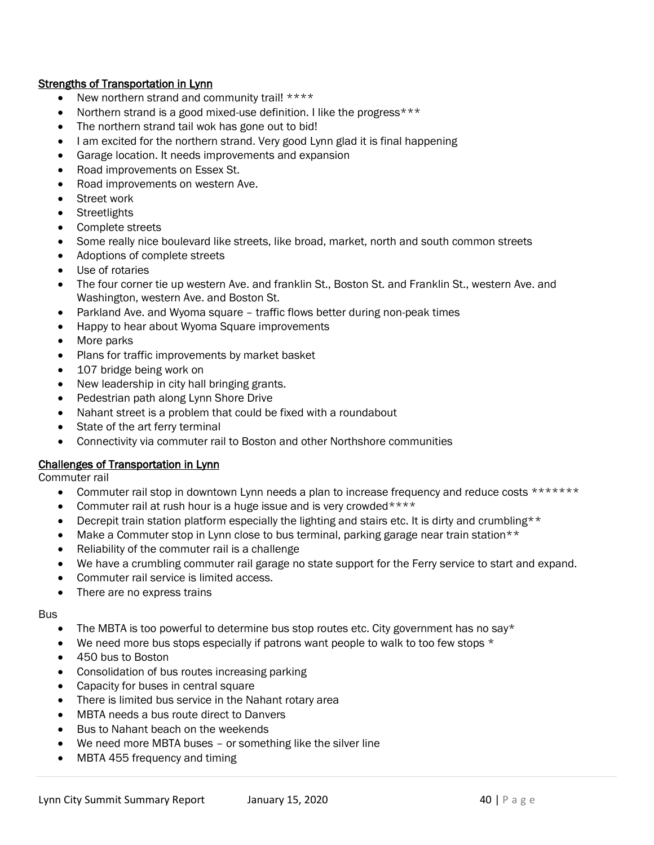# Strengths of Transportation in Lynn

- New northern strand and community trail! \*\*\*\*
- Northern strand is a good mixed-use definition. I like the progress\*\*\*
- The northern strand tail wok has gone out to bid!
- I am excited for the northern strand. Very good Lynn glad it is final happening
- Garage location. It needs improvements and expansion
- Road improvements on Essex St.
- Road improvements on western Ave.
- Street work
- **Streetlights**
- Complete streets
- Some really nice boulevard like streets, like broad, market, north and south common streets
- Adoptions of complete streets
- Use of rotaries
- The four corner tie up western Ave. and franklin St., Boston St. and Franklin St., western Ave. and Washington, western Ave. and Boston St.
- Parkland Ave. and Wyoma square traffic flows better during non-peak times
- Happy to hear about Wyoma Square improvements
- More parks
- Plans for traffic improvements by market basket
- 107 bridge being work on
- New leadership in city hall bringing grants.
- Pedestrian path along Lynn Shore Drive
- Nahant street is a problem that could be fixed with a roundabout
- State of the art ferry terminal
- Connectivity via commuter rail to Boston and other Northshore communities

# Challenges of Transportation in Lynn

Commuter rail

- Commuter rail stop in downtown Lynn needs a plan to increase frequency and reduce costs \*\*\*\*\*\*\*
- Commuter rail at rush hour is a huge issue and is very crowded\*\*\*\*
- Decrepit train station platform especially the lighting and stairs etc. It is dirty and crumbling\*\*
- Make a Commuter stop in Lynn close to bus terminal, parking garage near train station  $*$
- Reliability of the commuter rail is a challenge
- We have a crumbling commuter rail garage no state support for the Ferry service to start and expand.
- Commuter rail service is limited access.
- There are no express trains

Bus

- The MBTA is too powerful to determine bus stop routes etc. City government has no say\*
- We need more bus stops especially if patrons want people to walk to too few stops  $*$
- 450 bus to Boston
- Consolidation of bus routes increasing parking
- Capacity for buses in central square
- There is limited bus service in the Nahant rotary area
- MBTA needs a bus route direct to Danvers
- Bus to Nahant beach on the weekends
- We need more MBTA buses or something like the silver line
- MBTA 455 frequency and timing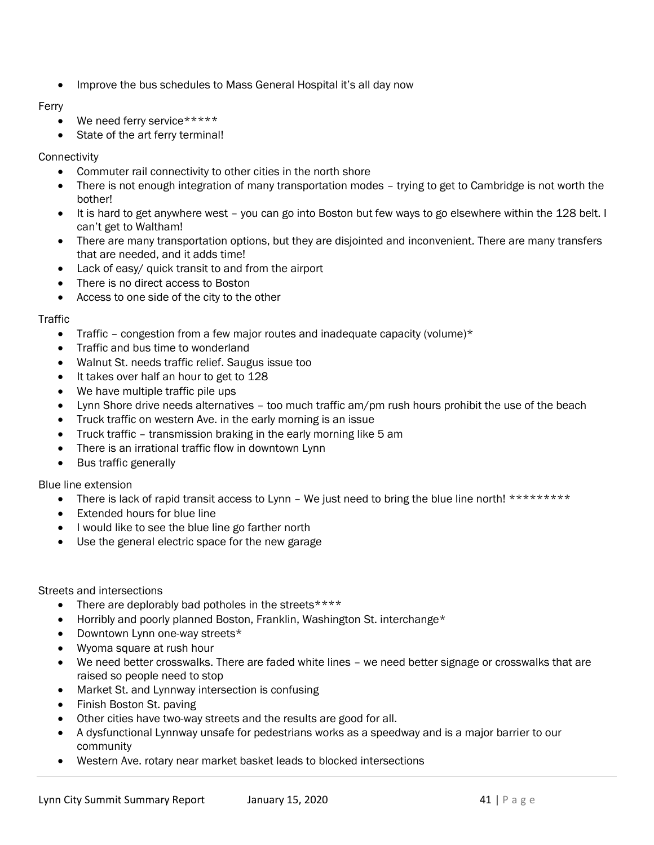• Improve the bus schedules to Mass General Hospital it's all day now

Ferry

- We need ferry service\*\*\*\*\*
- State of the art ferry terminal!

**Connectivity** 

- Commuter rail connectivity to other cities in the north shore
- There is not enough integration of many transportation modes trying to get to Cambridge is not worth the bother!
- It is hard to get anywhere west you can go into Boston but few ways to go elsewhere within the 128 belt. I can't get to Waltham!
- There are many transportation options, but they are disjointed and inconvenient. There are many transfers that are needed, and it adds time!
- Lack of easy/ quick transit to and from the airport
- There is no direct access to Boston
- Access to one side of the city to the other

# Traffic

- Traffic congestion from a few major routes and inadequate capacity (volume) $*$
- Traffic and bus time to wonderland
- Walnut St. needs traffic relief. Saugus issue too
- It takes over half an hour to get to 128
- We have multiple traffic pile ups
- Lynn Shore drive needs alternatives too much traffic am/pm rush hours prohibit the use of the beach
- Truck traffic on western Ave. in the early morning is an issue
- Truck traffic transmission braking in the early morning like 5 am
- There is an irrational traffic flow in downtown Lynn
- Bus traffic generally

Blue line extension

- There is lack of rapid transit access to Lynn We just need to bring the blue line north! \*\*\*\*\*\*\*\*\*
- Extended hours for blue line
- I would like to see the blue line go farther north
- Use the general electric space for the new garage

Streets and intersections

- There are deplorably bad potholes in the streets\*\*\*\*
- Horribly and poorly planned Boston, Franklin, Washington St. interchange\*
- Downtown Lynn one-way streets\*
- Wyoma square at rush hour
- We need better crosswalks. There are faded white lines we need better signage or crosswalks that are raised so people need to stop
- Market St. and Lynnway intersection is confusing
- Finish Boston St. paving
- Other cities have two-way streets and the results are good for all.
- A dysfunctional Lynnway unsafe for pedestrians works as a speedway and is a major barrier to our community
- Western Ave. rotary near market basket leads to blocked intersections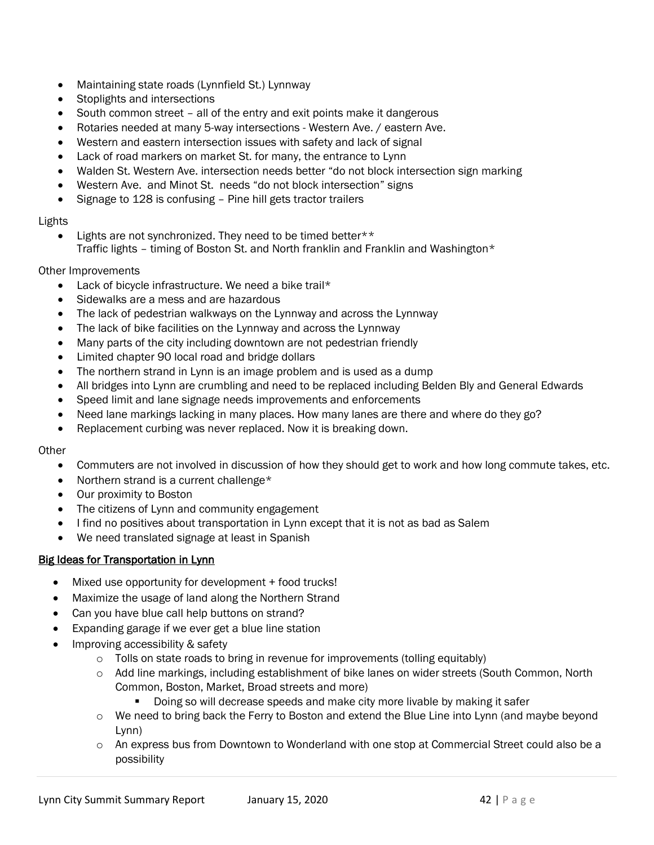- Maintaining state roads (Lynnfield St.) Lynnway
- Stoplights and intersections
- South common street all of the entry and exit points make it dangerous
- Rotaries needed at many 5-way intersections Western Ave. / eastern Ave.
- Western and eastern intersection issues with safety and lack of signal
- Lack of road markers on market St. for many, the entrance to Lynn
- Walden St. Western Ave. intersection needs better "do not block intersection sign marking
- Western Ave. and Minot St. needs "do not block intersection" signs
- Signage to 128 is confusing Pine hill gets tractor trailers

# Lights

Lights are not synchronized. They need to be timed better $**$ Traffic lights – timing of Boston St. and North franklin and Franklin and Washington\*

# Other Improvements

- Lack of bicycle infrastructure. We need a bike trail\*
- Sidewalks are a mess and are hazardous
- The lack of pedestrian walkways on the Lynnway and across the Lynnway
- The lack of bike facilities on the Lynnway and across the Lynnway
- Many parts of the city including downtown are not pedestrian friendly
- Limited chapter 90 local road and bridge dollars
- The northern strand in Lynn is an image problem and is used as a dump
- All bridges into Lynn are crumbling and need to be replaced including Belden Bly and General Edwards
- Speed limit and lane signage needs improvements and enforcements
- Need lane markings lacking in many places. How many lanes are there and where do they go?
- Replacement curbing was never replaced. Now it is breaking down.

# **Other**

- Commuters are not involved in discussion of how they should get to work and how long commute takes, etc.
- Northern strand is a current challenge\*
- Our proximity to Boston
- The citizens of Lynn and community engagement
- I find no positives about transportation in Lynn except that it is not as bad as Salem
- We need translated signage at least in Spanish

# Big Ideas for Transportation in Lynn

- Mixed use opportunity for development + food trucks!
- Maximize the usage of land along the Northern Strand
- Can you have blue call help buttons on strand?
- Expanding garage if we ever get a blue line station
- Improving accessibility & safety
	- $\circ$  Tolls on state roads to bring in revenue for improvements (tolling equitably)
	- o Add line markings, including establishment of bike lanes on wider streets (South Common, North Common, Boston, Market, Broad streets and more)
		- Doing so will decrease speeds and make city more livable by making it safer
	- o We need to bring back the Ferry to Boston and extend the Blue Line into Lynn (and maybe beyond Lynn)
	- o An express bus from Downtown to Wonderland with one stop at Commercial Street could also be a possibility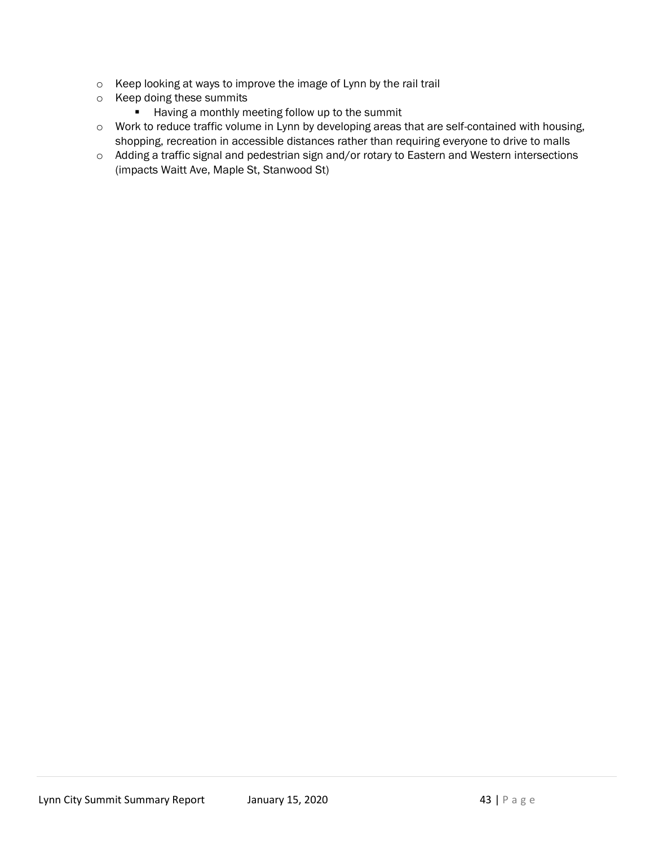- o Keep looking at ways to improve the image of Lynn by the rail trail
- o Keep doing these summits
	- Having a monthly meeting follow up to the summit
- o Work to reduce traffic volume in Lynn by developing areas that are self-contained with housing, shopping, recreation in accessible distances rather than requiring everyone to drive to malls
- o Adding a traffic signal and pedestrian sign and/or rotary to Eastern and Western intersections (impacts Waitt Ave, Maple St, Stanwood St)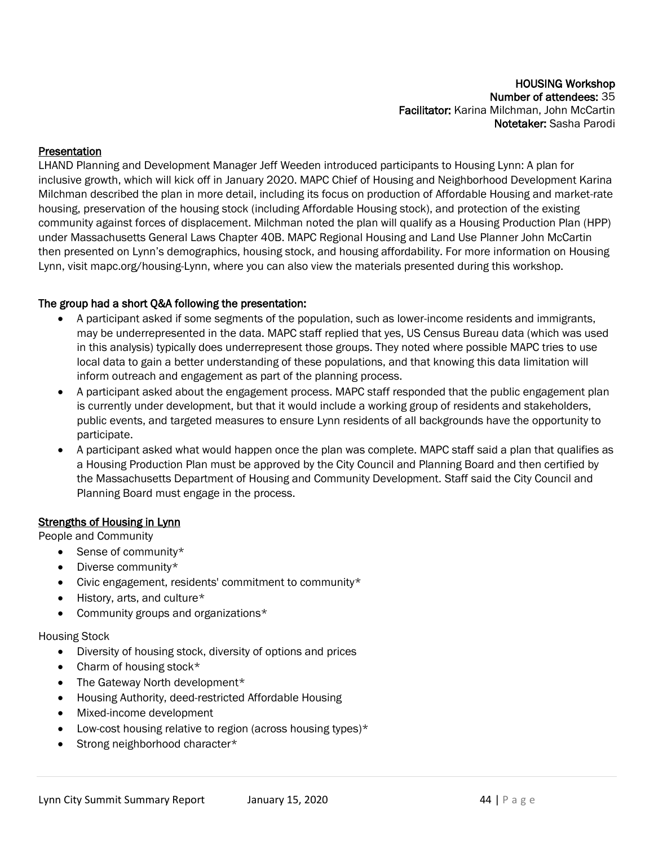# HOUSING Workshop Number of attendees: 35 Facilitator: Karina Milchman, John McCartin Notetaker: Sasha Parodi

# **Presentation**

LHAND Planning and Development Manager Jeff Weeden introduced participants to Housing Lynn: A plan for inclusive growth, which will kick off in January 2020. MAPC Chief of Housing and Neighborhood Development Karina Milchman described the plan in more detail, including its focus on production of Affordable Housing and market-rate housing, preservation of the housing stock (including Affordable Housing stock), and protection of the existing community against forces of displacement. Milchman noted the plan will qualify as a Housing Production Plan (HPP) under Massachusetts General Laws Chapter 40B. MAPC Regional Housing and Land Use Planner John McCartin then presented on Lynn's demographics, housing stock, and housing affordability. For more information on Housing Lynn, visit mapc.org/housing-Lynn, where you can also view the materials presented during this workshop.

# The group had a short Q&A following the presentation:

- A participant asked if some segments of the population, such as lower-income residents and immigrants, may be underrepresented in the data. MAPC staff replied that yes, US Census Bureau data (which was used in this analysis) typically does underrepresent those groups. They noted where possible MAPC tries to use local data to gain a better understanding of these populations, and that knowing this data limitation will inform outreach and engagement as part of the planning process.
- A participant asked about the engagement process. MAPC staff responded that the public engagement plan is currently under development, but that it would include a working group of residents and stakeholders, public events, and targeted measures to ensure Lynn residents of all backgrounds have the opportunity to participate.
- A participant asked what would happen once the plan was complete. MAPC staff said a plan that qualifies as a Housing Production Plan must be approved by the City Council and Planning Board and then certified by the Massachusetts Department of Housing and Community Development. Staff said the City Council and Planning Board must engage in the process.

# Strengths of Housing in Lynn

People and Community

- Sense of community\*
- Diverse community\*
- Civic engagement, residents' commitment to community\*
- History, arts, and culture\*
- Community groups and organizations\*

# Housing Stock

- Diversity of housing stock, diversity of options and prices
- Charm of housing stock\*
- The Gateway North development\*
- Housing Authority, deed-restricted Affordable Housing
- Mixed-income development
- Low-cost housing relative to region (across housing types)\*
- Strong neighborhood character\*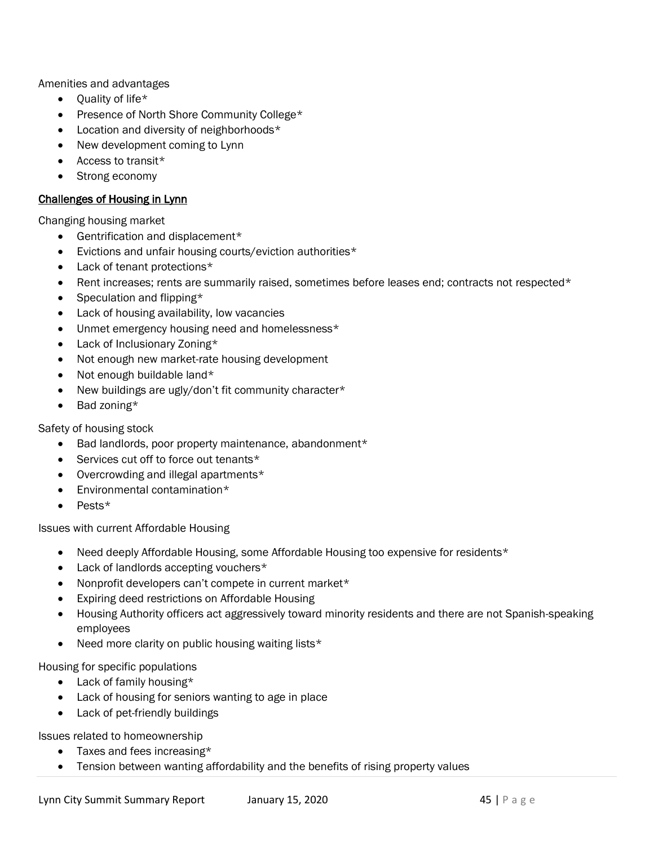Amenities and advantages

- Quality of life\*
- Presence of North Shore Community College\*
- Location and diversity of neighborhoods\*
- New development coming to Lynn
- Access to transit\*
- Strong economy

# Challenges of Housing in Lynn

Changing housing market

- Gentrification and displacement\*
- Evictions and unfair housing courts/eviction authorities\*
- Lack of tenant protections\*
- Rent increases; rents are summarily raised, sometimes before leases end; contracts not respected $*$
- Speculation and flipping\*
- Lack of housing availability, low vacancies
- Unmet emergency housing need and homelessness\*
- Lack of Inclusionary Zoning\*
- Not enough new market-rate housing development
- Not enough buildable land\*
- New buildings are ugly/don't fit community character\*
- Bad zoning\*

Safety of housing stock

- Bad landlords, poor property maintenance, abandonment\*
- Services cut off to force out tenants\*
- Overcrowding and illegal apartments\*
- Environmental contamination\*
- Pests\*

Issues with current Affordable Housing

- Need deeply Affordable Housing, some Affordable Housing too expensive for residents\*
- Lack of landlords accepting vouchers\*
- Nonprofit developers can't compete in current market\*
- Expiring deed restrictions on Affordable Housing
- Housing Authority officers act aggressively toward minority residents and there are not Spanish-speaking employees
- Need more clarity on public housing waiting lists\*

Housing for specific populations

- Lack of family housing\*
- Lack of housing for seniors wanting to age in place
- Lack of pet-friendly buildings

Issues related to homeownership

- Taxes and fees increasing\*
- Tension between wanting affordability and the benefits of rising property values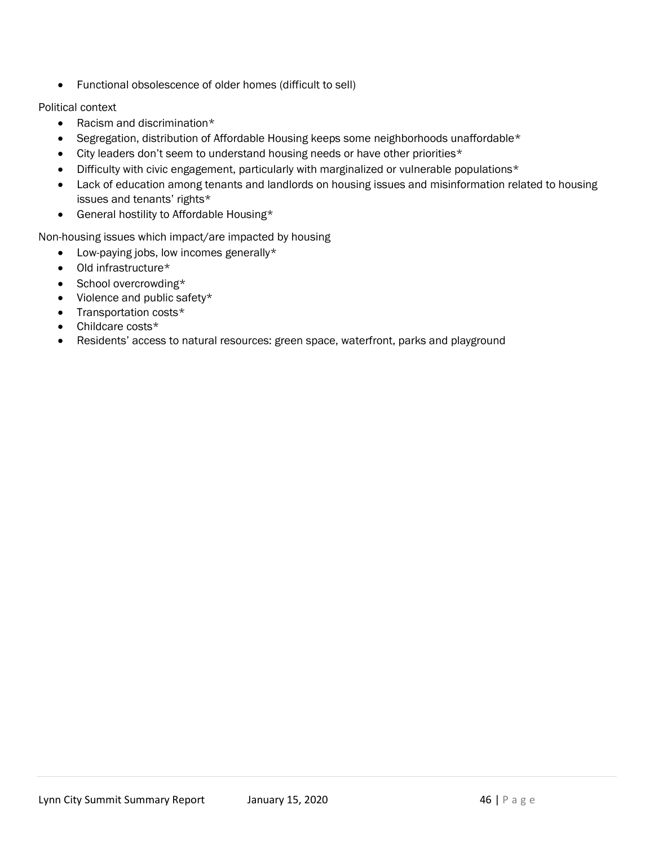• Functional obsolescence of older homes (difficult to sell)

Political context

- Racism and discrimination\*
- Segregation, distribution of Affordable Housing keeps some neighborhoods unaffordable\*
- City leaders don't seem to understand housing needs or have other priorities\*
- Difficulty with civic engagement, particularly with marginalized or vulnerable populations\*
- Lack of education among tenants and landlords on housing issues and misinformation related to housing issues and tenants' rights\*
- General hostility to Affordable Housing\*

Non-housing issues which impact/are impacted by housing

- Low-paying jobs, low incomes generally\*
- Old infrastructure\*
- School overcrowding\*
- Violence and public safety\*
- Transportation costs\*
- Childcare costs\*
- Residents' access to natural resources: green space, waterfront, parks and playground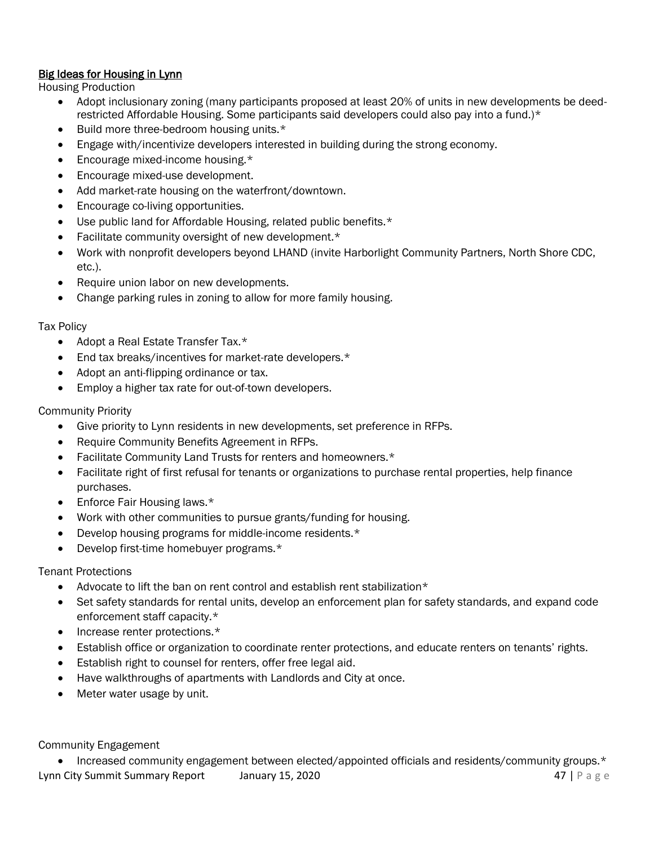# Big Ideas for Housing in Lynn

Housing Production

- Adopt inclusionary zoning (many participants proposed at least 20% of units in new developments be deedrestricted Affordable Housing. Some participants said developers could also pay into a fund.)\*
- Build more three-bedroom housing units.\*
- Engage with/incentivize developers interested in building during the strong economy.
- Encourage mixed-income housing.\*
- Encourage mixed-use development.
- Add market-rate housing on the waterfront/downtown.
- Encourage co-living opportunities.
- Use public land for Affordable Housing, related public benefits.\*
- Facilitate community oversight of new development.\*
- Work with nonprofit developers beyond LHAND (invite Harborlight Community Partners, North Shore CDC, etc.).
- Require union labor on new developments.
- Change parking rules in zoning to allow for more family housing.

# Tax Policy

- Adopt a Real Estate Transfer Tax.\*
- End tax breaks/incentives for market-rate developers.\*
- Adopt an anti-flipping ordinance or tax.
- Employ a higher tax rate for out-of-town developers.

# Community Priority

- Give priority to Lynn residents in new developments, set preference in RFPs.
- Require Community Benefits Agreement in RFPs.
- Facilitate Community Land Trusts for renters and homeowners.\*
- Facilitate right of first refusal for tenants or organizations to purchase rental properties, help finance purchases.
- Enforce Fair Housing laws.\*
- Work with other communities to pursue grants/funding for housing.
- Develop housing programs for middle-income residents.\*
- Develop first-time homebuyer programs.\*

# Tenant Protections

- Advocate to lift the ban on rent control and establish rent stabilization\*
- Set safety standards for rental units, develop an enforcement plan for safety standards, and expand code enforcement staff capacity.\*
- Increase renter protections.\*
- Establish office or organization to coordinate renter protections, and educate renters on tenants' rights.
- Establish right to counsel for renters, offer free legal aid.
- Have walkthroughs of apartments with Landlords and City at once.
- Meter water usage by unit.

Community Engagement

Lynn City Summit Summary Report January 15, 2020 47 | P a g e • Increased community engagement between elected/appointed officials and residents/community groups.\*